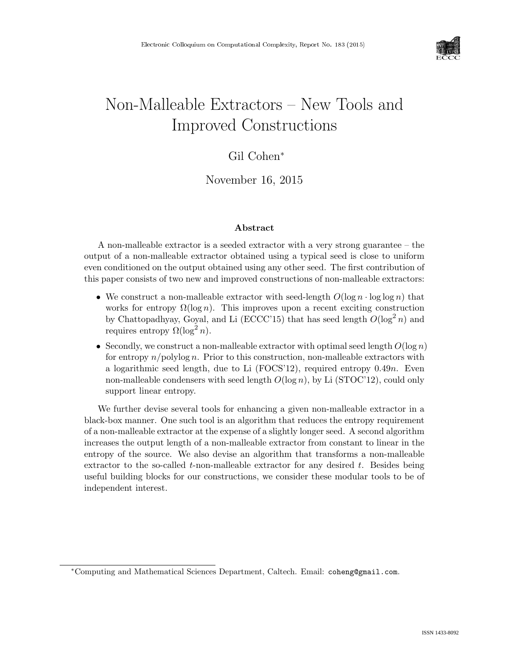

# Non-Malleable Extractors – New Tools and Improved Constructions

### Gil Cohen<sup>∗</sup>

November 16, 2015

#### Abstract

A non-malleable extractor is a seeded extractor with a very strong guarantee – the output of a non-malleable extractor obtained using a typical seed is close to uniform even conditioned on the output obtained using any other seed. The first contribution of this paper consists of two new and improved constructions of non-malleable extractors:

- We construct a non-malleable extractor with seed-length  $O(\log n \cdot \log \log n)$  that works for entropy  $\Omega(\log n)$ . This improves upon a recent exciting construction by Chattopadhyay, Goyal, and Li (ECCC'15) that has seed length  $O(\log^2 n)$  and requires entropy  $\Omega(\log^2 n)$ .
- Secondly, we construct a non-malleable extractor with optimal seed length  $O(\log n)$ for entropy  $n$ /polylog n. Prior to this construction, non-malleable extractors with a logarithmic seed length, due to Li  $(FOCS12)$ , required entropy 0.49n. Even non-malleable condensers with seed length  $O(\log n)$ , by Li (STOC'12), could only support linear entropy.

We further devise several tools for enhancing a given non-malleable extractor in a black-box manner. One such tool is an algorithm that reduces the entropy requirement of a non-malleable extractor at the expense of a slightly longer seed. A second algorithm increases the output length of a non-malleable extractor from constant to linear in the entropy of the source. We also devise an algorithm that transforms a non-malleable extractor to the so-called  $t$ -non-malleable extractor for any desired  $t$ . Besides being useful building blocks for our constructions, we consider these modular tools to be of independent interest.

<sup>∗</sup>Computing and Mathematical Sciences Department, Caltech. Email: coheng@gmail.com.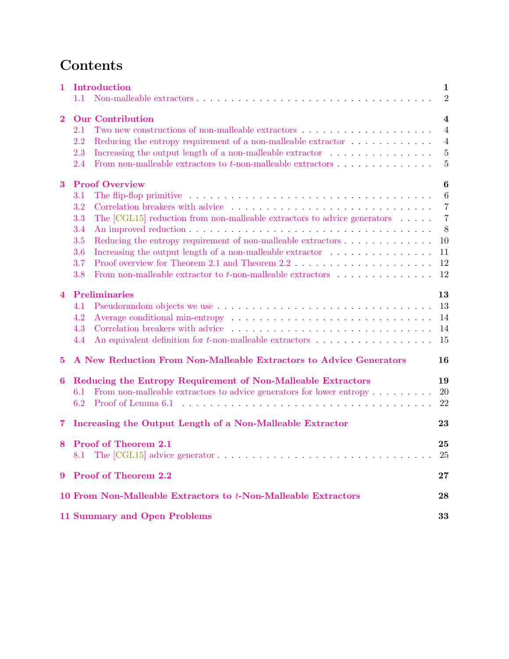## Contents

| 1                       |                       | Introduction                                                                                                         | 1              |  |  |  |  |  |
|-------------------------|-----------------------|----------------------------------------------------------------------------------------------------------------------|----------------|--|--|--|--|--|
|                         | 1.1                   | Non-malleable extractors $\dots \dots \dots \dots \dots \dots \dots \dots \dots \dots \dots \dots \dots \dots \dots$ | $\overline{2}$ |  |  |  |  |  |
| $\overline{\mathbf{2}}$ |                       | <b>Our Contribution</b>                                                                                              | $\overline{4}$ |  |  |  |  |  |
|                         | 2.1                   |                                                                                                                      | $\overline{4}$ |  |  |  |  |  |
|                         | 2.2                   |                                                                                                                      | $\overline{4}$ |  |  |  |  |  |
|                         | 2.3                   |                                                                                                                      | $\overline{5}$ |  |  |  |  |  |
|                         | $2.4\,$               | From non-malleable extractors to $t$ -non-malleable extractors $\ldots \ldots \ldots \ldots$                         | $\overline{5}$ |  |  |  |  |  |
| $\bf{3}$                | <b>Proof Overview</b> |                                                                                                                      |                |  |  |  |  |  |
|                         | 3.1                   |                                                                                                                      | 6              |  |  |  |  |  |
|                         | 3.2                   |                                                                                                                      | $\overline{7}$ |  |  |  |  |  |
|                         | 3.3                   | The $[CGL15]$ reduction from non-malleable extractors to advice generators $\ldots$ .                                | $\overline{7}$ |  |  |  |  |  |
|                         | 3.4                   |                                                                                                                      | 8              |  |  |  |  |  |
|                         | 3.5                   | Reducing the entropy requirement of non-malleable extractors                                                         | 10             |  |  |  |  |  |
|                         | 3.6                   |                                                                                                                      | 11             |  |  |  |  |  |
|                         | 3.7                   |                                                                                                                      | 12             |  |  |  |  |  |
|                         | 3.8                   | From non-malleable extractor to $t$ -non-malleable extractors $\ldots \ldots \ldots \ldots$                          | 12             |  |  |  |  |  |
| 4                       | Preliminaries         |                                                                                                                      |                |  |  |  |  |  |
|                         | 4.1                   |                                                                                                                      | 13             |  |  |  |  |  |
|                         | 4.2                   |                                                                                                                      | 14             |  |  |  |  |  |
|                         | 4.3                   | Correlation breakers with advice                                                                                     | 14             |  |  |  |  |  |
|                         | 4.4                   | An equivalent definition for $t$ -non-malleable extractors $\ldots \ldots \ldots \ldots \ldots$                      | 15             |  |  |  |  |  |
| $\bf{5}$                |                       | A New Reduction From Non-Malleable Extractors to Advice Generators                                                   | 16             |  |  |  |  |  |
| 6                       |                       | Reducing the Entropy Requirement of Non-Malleable Extractors                                                         | 19             |  |  |  |  |  |
|                         | 6.1                   | From non-malleable extractors to advice generators for lower entropy $\dots \dots$                                   | 20             |  |  |  |  |  |
|                         | 6.2                   |                                                                                                                      | 22             |  |  |  |  |  |
| $\overline{\mathbf{7}}$ |                       | Increasing the Output Length of a Non-Malleable Extractor                                                            | 23             |  |  |  |  |  |
| 8                       |                       | Proof of Theorem 2.1                                                                                                 | 25             |  |  |  |  |  |
|                         |                       |                                                                                                                      | $25\,$         |  |  |  |  |  |
|                         |                       | 9 Proof of Theorem 2.2                                                                                               | 27             |  |  |  |  |  |
|                         |                       | 10 From Non-Malleable Extractors to t-Non-Malleable Extractors                                                       | 28             |  |  |  |  |  |
|                         |                       | <b>11 Summary and Open Problems</b>                                                                                  | 33             |  |  |  |  |  |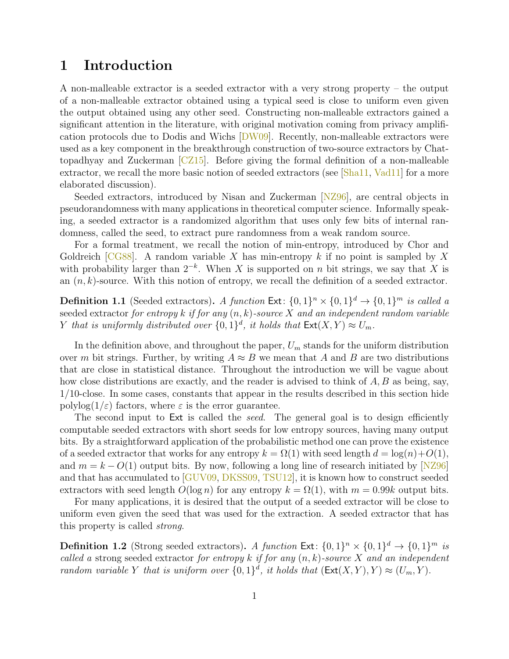### <span id="page-2-0"></span>1 Introduction

A non-malleable extractor is a seeded extractor with a very strong property – the output of a non-malleable extractor obtained using a typical seed is close to uniform even given the output obtained using any other seed. Constructing non-malleable extractors gained a significant attention in the literature, with original motivation coming from privacy amplification protocols due to Dodis and Wichs [\[DW09\]](#page-36-0). Recently, non-malleable extractors were used as a key component in the breakthrough construction of two-source extractors by Chattopadhyay and Zuckerman  $\sqrt{CZ15}$ . Before giving the formal definition of a non-malleable extractor, we recall the more basic notion of seeded extractors (see  $[\text{Sha11}, \text{Vad11}]$  for a more elaborated discussion).

Seeded extractors, introduced by Nisan and Zuckerman [\[NZ96\]](#page--1-2), are central objects in pseudorandomness with many applications in theoretical computer science. Informally speaking, a seeded extractor is a randomized algorithm that uses only few bits of internal randomness, called the seed, to extract pure randomness from a weak random source.

For a formal treatment, we recall the notion of min-entropy, introduced by Chor and Goldreich  $[CG88]$ . A random variable X has min-entropy k if no point is sampled by X with probability larger than  $2^{-k}$ . When X is supported on n bit strings, we say that X is an  $(n, k)$ -source. With this notion of entropy, we recall the definition of a seeded extractor.

**Definition 1.1** (Seeded extractors). A function  $Ext: \{0,1\}^n \times \{0,1\}^d \rightarrow \{0,1\}^m$  is called a seeded extractor for entropy k if for any  $(n, k)$ -source X and an independent random variable Y that is uniformly distributed over  $\{0,1\}^d$ , it holds that  $\text{Ext}(X,Y) \approx U_m$ .

In the definition above, and throughout the paper,  $U_m$  stands for the uniform distribution over m bit strings. Further, by writing  $A \approx B$  we mean that A and B are two distributions that are close in statistical distance. Throughout the introduction we will be vague about how close distributions are exactly, and the reader is advised to think of  $A, B$  as being, say, 1/10-close. In some cases, constants that appear in the results described in this section hide polylog( $1/\varepsilon$ ) factors, where  $\varepsilon$  is the error guarantee.

The second input to Ext is called the *seed*. The general goal is to design efficiently computable seeded extractors with short seeds for low entropy sources, having many output bits. By a straightforward application of the probabilistic method one can prove the existence of a seeded extractor that works for any entropy  $k = \Omega(1)$  with seed length  $d = \log(n) + O(1)$ , and  $m = k - O(1)$  output bits. By now, following a long line of research initiated by [\[NZ96\]](#page--1-2) and that has accumulated to [\[GUV09,](#page-36-1) [DKSS09,](#page-35-3) [TSU12\]](#page--1-3), it is known how to construct seeded extractors with seed length  $O(\log n)$  for any entropy  $k = \Omega(1)$ , with  $m = 0.99k$  output bits.

For many applications, it is desired that the output of a seeded extractor will be close to uniform even given the seed that was used for the extraction. A seeded extractor that has this property is called strong.

**Definition 1.2** (Strong seeded extractors). A function Ext:  $\{0,1\}^n \times \{0,1\}^d \rightarrow \{0,1\}^m$  is called a strong seeded extractor for entropy k if for any  $(n, k)$ -source X and an independent random variable Y that is uniform over  $\{0,1\}^d$ , it holds that  $(\text{Ext}(X,Y), Y) \approx (U_m, Y)$ .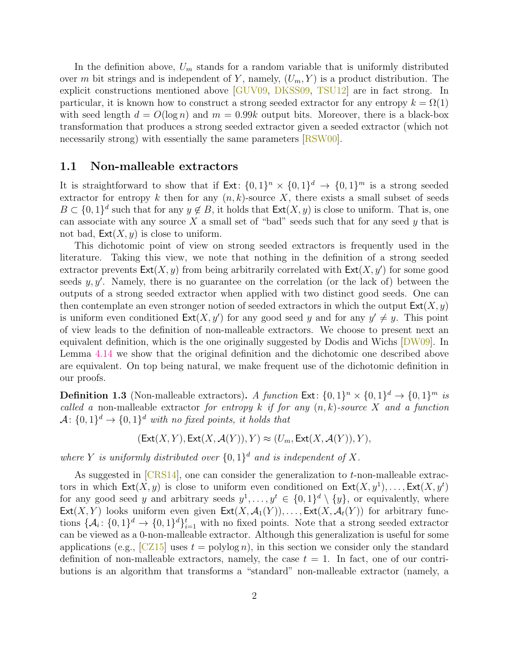In the definition above,  $U_m$  stands for a random variable that is uniformly distributed over m bit strings and is independent of Y, namely,  $(U_m, Y)$  is a product distribution. The explicit constructions mentioned above [\[GUV09,](#page-36-1) [DKSS09,](#page-35-3) [TSU12\]](#page--1-3) are in fact strong. In particular, it is known how to construct a strong seeded extractor for any entropy  $k = \Omega(1)$ with seed length  $d = O(\log n)$  and  $m = 0.99k$  output bits. Moreover, there is a black-box transformation that produces a strong seeded extractor given a seeded extractor (which not necessarily strong) with essentially the same parameters  $[RSW00]$ .

#### <span id="page-3-0"></span>1.1 Non-malleable extractors

It is straightforward to show that if  $Ext: \{0,1\}^n \times \{0,1\}^d \rightarrow \{0,1\}^m$  is a strong seeded extractor for entropy k then for any  $(n, k)$ -source X, there exists a small subset of seeds  $B \subset \{0,1\}^d$  such that for any  $y \notin B$ , it holds that  $\text{Ext}(X, y)$  is close to uniform. That is, one can associate with any source  $X$  a small set of "bad" seeds such that for any seed  $y$  that is not bad,  $\textsf{Ext}(X, y)$  is close to uniform.

This dichotomic point of view on strong seeded extractors is frequently used in the literature. Taking this view, we note that nothing in the definition of a strong seeded extractor prevents  $\textsf{Ext}(X, y)$  from being arbitrarily correlated with  $\textsf{Ext}(X, y')$  for some good seeds  $y, y'$ . Namely, there is no guarantee on the correlation (or the lack of) between the outputs of a strong seeded extractor when applied with two distinct good seeds. One can then contemplate an even stronger notion of seeded extractors in which the output  $\text{Ext}(X, y)$ is uniform even conditioned  $\text{Ext}(X, y')$  for any good seed y and for any  $y' \neq y$ . This point of view leads to the definition of non-malleable extractors. We choose to present next an equivalent definition, which is the one originally suggested by Dodis and Wichs [\[DW09\]](#page-36-0). In Lemma [4.14](#page-16-1) we show that the original definition and the dichotomic one described above are equivalent. On top being natural, we make frequent use of the dichotomic definition in our proofs.

**Definition 1.3** (Non-malleable extractors). A function  $Ext: \{0,1\}^n \times \{0,1\}^d \rightarrow \{0,1\}^m$  is called a non-malleable extractor for entropy k if for any  $(n, k)$ -source X and a function  $\mathcal{A} \colon \{0,1\}^d \to \{0,1\}^d$  with no fixed points, it holds that

$$
(\text{Ext}(X,Y),\text{Ext}(X,\mathcal{A}(Y)),Y)\approx (U_m,\text{Ext}(X,\mathcal{A}(Y)),Y),
$$

where Y is uniformly distributed over  $\{0,1\}^d$  and is independent of X.

As suggested in [\[CRS14\]](#page-35-4), one can consider the generalization to t-non-malleable extractors in which  $\mathsf{Ext}(X, y)$  is close to uniform even conditioned on  $\mathsf{Ext}(X, y^1), \ldots, \mathsf{Ext}(X, y^t)$ for any good seed y and arbitrary seeds  $y^1, \ldots, y^t \in \{0,1\}^d \setminus \{y\}$ , or equivalently, where  $Ext(X, Y)$  looks uniform even given  $Ext(X, \mathcal{A}_1(Y)), \ldots, Ext(X, \mathcal{A}_t(Y))$  for arbitrary functions  $\{\mathcal{A}_i: \{0,1\}^d \to \{0,1\}^d\}_{i=1}^t$  with no fixed points. Note that a strong seeded extractor can be viewed as a 0-non-malleable extractor. Although this generalization is useful for some applications (e.g.,  $\lfloor CZ15 \rfloor$  uses  $t = \text{polylog } n$ ), in this section we consider only the standard definition of non-malleable extractors, namely, the case  $t = 1$ . In fact, one of our contributions is an algorithm that transforms a "standard" non-malleable extractor (namely, a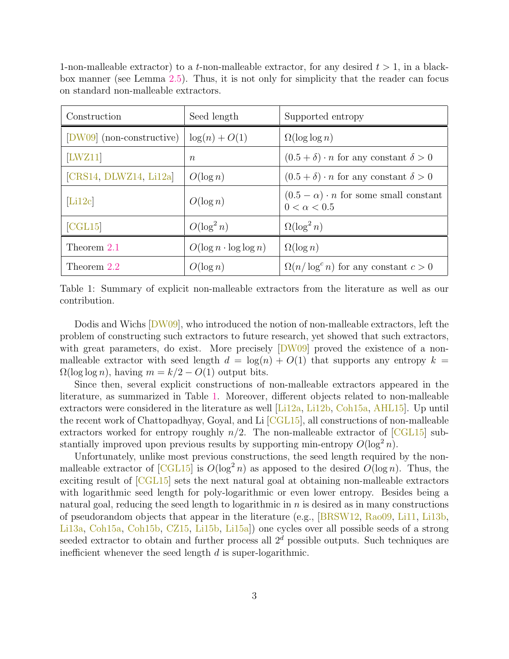| 1-non-malleable extractor) to a t-non-malleable extractor, for any desired $t > 1$ , in a black- |  |  |  |  |  |
|--------------------------------------------------------------------------------------------------|--|--|--|--|--|
| box manner (see Lemma 2.5). Thus, it is not only for simplicity that the reader can focus        |  |  |  |  |  |
| on standard non-malleable extractors.                                                            |  |  |  |  |  |

| Construction              | Seed length                   | Supported entropy                                                      |  |  |
|---------------------------|-------------------------------|------------------------------------------------------------------------|--|--|
| [DW09] (non-constructive) | $\log(n) + O(1)$              | $\Omega(\log \log n)$                                                  |  |  |
| [LWZ11]                   | $n_{\rm}$                     | $(0.5 + \delta) \cdot n$ for any constant $\delta > 0$                 |  |  |
| [CRS14, DLWZ14, Li12a]    | $O(\log n)$                   | $(0.5 + \delta) \cdot n$ for any constant $\delta > 0$                 |  |  |
| [Li12c]                   | $O(\log n)$                   | $(0.5 - \alpha) \cdot n$ for some small constant<br>$0 < \alpha < 0.5$ |  |  |
| $[{\rm CGL}15]$           | $O(\log^2 n)$                 | $\Omega(\log^2 n)$                                                     |  |  |
| Theorem 2.1               | $O(\log n \cdot \log \log n)$ | $\Omega(\log n)$                                                       |  |  |
| Theorem 2.2               | $O(\log n)$                   | $\Omega(n/\log^c n)$ for any constant $c > 0$                          |  |  |

<span id="page-4-0"></span>Table 1: Summary of explicit non-malleable extractors from the literature as well as our contribution.

Dodis and Wichs [\[DW09\]](#page-36-0), who introduced the notion of non-malleable extractors, left the problem of constructing such extractors to future research, yet showed that such extractors, with great parameters, do exist. More precisely  $[DW09]$  proved the existence of a nonmalleable extractor with seed length  $d = \log(n) + O(1)$  that supports any entropy  $k =$  $\Omega(\log \log n)$ , having  $m = k/2 - O(1)$  output bits.

Since then, several explicit constructions of non-malleable extractors appeared in the literature, as summarized in Table [1.](#page-4-0) Moreover, different objects related to non-malleable extractors were considered in the literature as well [\[Li12a,](#page-36-3) [Li12b,](#page-36-5) [Coh15a,](#page-35-6) [AHL15\]](#page-34-1). Up until the recent work of Chattopadhyay, Goyal, and Li [\[CGL15\]](#page-35-0), all constructions of non-malleable extractors worked for entropy roughly  $n/2$ . The non-malleable extractor of  $\sqrt{CGL15}$  substantially improved upon previous results by supporting min-entropy  $O(\log^2 n)$ .

Unfortunately, unlike most previous constructions, the seed length required by the nonmalleable extractor of  $[CGL15]$  is  $O(\log^2 n)$  as apposed to the desired  $O(\log n)$ . Thus, the exciting result of [\[CGL15\]](#page-35-0) sets the next natural goal at obtaining non-malleable extractors with logarithmic seed length for poly-logarithmic or even lower entropy. Besides being a natural goal, reducing the seed length to logarithmic in  $n$  is desired as in many constructions of pseudorandom objects that appear in the literature (e.g., [\[BRSW12,](#page-35-7) [Rao09,](#page--1-5) [Li11,](#page-36-6) [Li13b,](#page-36-7) [Li13a,](#page-36-8) [Coh15a,](#page-35-6) [Coh15b,](#page-35-8) [CZ15,](#page-35-1) [Li15b,](#page-36-9) [Li15a\]](#page-36-10)) one cycles over all possible seeds of a strong seeded extractor to obtain and further process all  $2<sup>d</sup>$  possible outputs. Such techniques are inefficient whenever the seed length  $d$  is super-logarithmic.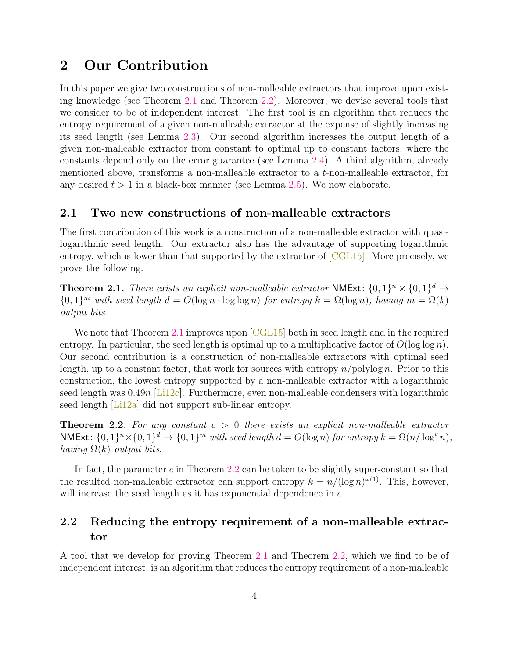### <span id="page-5-0"></span>2 Our Contribution

In this paper we give two constructions of non-malleable extractors that improve upon existing knowledge (see Theorem [2.1](#page-5-3) and Theorem [2.2\)](#page-5-4). Moreover, we devise several tools that we consider to be of independent interest. The first tool is an algorithm that reduces the entropy requirement of a given non-malleable extractor at the expense of slightly increasing its seed length (see Lemma [2.3\)](#page-6-2). Our second algorithm increases the output length of a given non-malleable extractor from constant to optimal up to constant factors, where the constants depend only on the error guarantee (see Lemma [2.4\)](#page-6-3). A third algorithm, already mentioned above, transforms a non-malleable extractor to a t-non-malleable extractor, for any desired  $t > 1$  in a black-box manner (see Lemma [2.5\)](#page-7-2). We now elaborate.

### <span id="page-5-1"></span>2.1 Two new constructions of non-malleable extractors

The first contribution of this work is a construction of a non-malleable extractor with quasilogarithmic seed length. Our extractor also has the advantage of supporting logarithmic entropy, which is lower than that supported by the extractor of  $\lbrack \text{CGL15} \rbrack$ . More precisely, we prove the following.

<span id="page-5-3"></span>**Theorem 2.1.** There exists an explicit non-malleable extractor NMExt:  $\{0,1\}^n \times \{0,1\}^d \rightarrow$  ${0,1}^m$  with seed length  $d = O(\log n \cdot \log \log n)$  for entropy  $k = \Omega(\log n)$ , having  $m = \Omega(k)$ output bits.

We note that Theorem [2.1](#page-5-3) improves upon [\[CGL15\]](#page-35-0) both in seed length and in the required entropy. In particular, the seed length is optimal up to a multiplicative factor of  $O(\log \log n)$ . Our second contribution is a construction of non-malleable extractors with optimal seed length, up to a constant factor, that work for sources with entropy  $n$ /polylog n. Prior to this construction, the lowest entropy supported by a non-malleable extractor with a logarithmic seed length was  $0.49n$  [Li<sub>12c</sub>]. Furthermore, even non-malleable condensers with logarithmic seed length [Li<sub>12a</sub>] did not support sub-linear entropy.

<span id="page-5-4"></span>**Theorem 2.2.** For any constant  $c > 0$  there exists an explicit non-malleable extractor NMExt:  $\{0,1\}^n \times \{0,1\}^d \to \{0,1\}^m$  with seed length  $d = O(\log n)$  for entropy  $k = \Omega(n/\log^c n)$ , having  $\Omega(k)$  output bits.

In fact, the parameter  $c$  in Theorem [2.2](#page-5-4) can be taken to be slightly super-constant so that the resulted non-malleable extractor can support entropy  $k = n/(\log n)^{\omega(1)}$ . This, however, will increase the seed length as it has exponential dependence in  $c$ .

### <span id="page-5-2"></span>2.2 Reducing the entropy requirement of a non-malleable extractor

A tool that we develop for proving Theorem [2.1](#page-5-3) and Theorem [2.2,](#page-5-4) which we find to be of independent interest, is an algorithm that reduces the entropy requirement of a non-malleable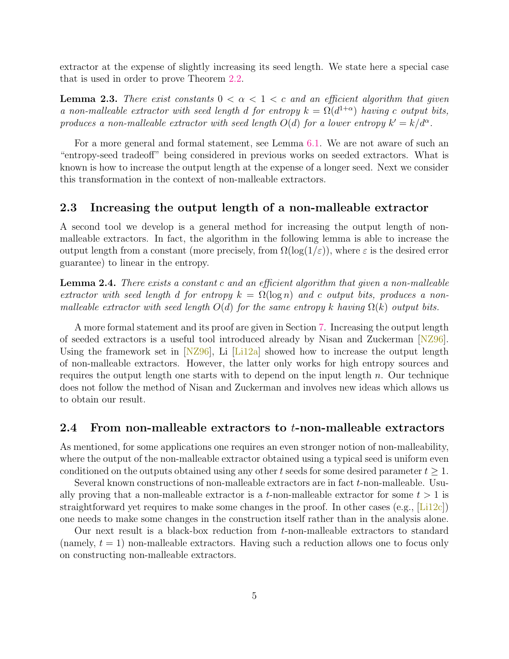extractor at the expense of slightly increasing its seed length. We state here a special case that is used in order to prove Theorem [2.2.](#page-5-4)

<span id="page-6-2"></span>**Lemma 2.3.** There exist constants  $0 < \alpha < 1 < c$  and an efficient algorithm that given a non-malleable extractor with seed length d for entropy  $k = \Omega(d^{1+\alpha})$  having c output bits, produces a non-malleable extractor with seed length  $O(d)$  for a lower entropy  $k' = k/d^{\alpha}$ .

For a more general and formal statement, see Lemma [6.1.](#page-20-1) We are not aware of such an "entropy-seed tradeoff" being considered in previous works on seeded extractors. What is known is how to increase the output length at the expense of a longer seed. Next we consider this transformation in the context of non-malleable extractors.

### <span id="page-6-0"></span>2.3 Increasing the output length of a non-malleable extractor

A second tool we develop is a general method for increasing the output length of nonmalleable extractors. In fact, the algorithm in the following lemma is able to increase the output length from a constant (more precisely, from  $\Omega(\log(1/\varepsilon))$ , where  $\varepsilon$  is the desired error guarantee) to linear in the entropy.

<span id="page-6-3"></span>Lemma 2.4. There exists a constant c and an efficient algorithm that given a non-malleable extractor with seed length d for entropy  $k = \Omega(\log n)$  and c output bits, produces a nonmalleable extractor with seed length  $O(d)$  for the same entropy k having  $\Omega(k)$  output bits.

A more formal statement and its proof are given in Section [7.](#page-24-0) Increasing the output length of seeded extractors is a useful tool introduced already by Nisan and Zuckerman [\[NZ96\]](#page--1-2). Using the framework set in  $[NZ96]$ , Li  $[Li12a]$  showed how to increase the output length of non-malleable extractors. However, the latter only works for high entropy sources and requires the output length one starts with to depend on the input length  $n$ . Our technique does not follow the method of Nisan and Zuckerman and involves new ideas which allows us to obtain our result.

#### <span id="page-6-1"></span>2.4 From non-malleable extractors to t-non-malleable extractors

As mentioned, for some applications one requires an even stronger notion of non-malleability, where the output of the non-malleable extractor obtained using a typical seed is uniform even conditioned on the outputs obtained using any other t seeds for some desired parameter  $t \geq 1$ .

Several known constructions of non-malleable extractors are in fact t-non-malleable. Usually proving that a non-malleable extractor is a t-non-malleable extractor for some  $t > 1$  is straightforward yet requires to make some changes in the proof. In other cases (e.g.,  $[Li12c]$ ) one needs to make some changes in the construction itself rather than in the analysis alone.

Our next result is a black-box reduction from t-non-malleable extractors to standard (namely,  $t = 1$ ) non-malleable extractors. Having such a reduction allows one to focus only on constructing non-malleable extractors.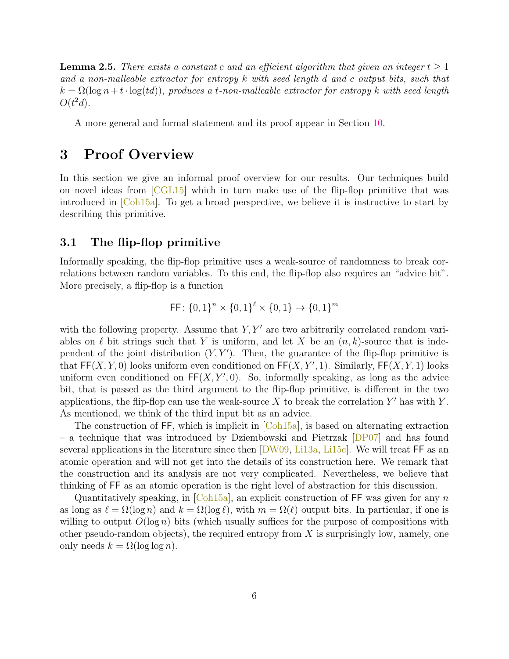<span id="page-7-2"></span>**Lemma 2.5.** There exists a constant c and an efficient algorithm that given an integer  $t \geq 1$ and a non-malleable extractor for entropy k with seed length d and c output bits, such that  $k = \Omega(\log n + t \cdot \log(t))$ , produces a t-non-malleable extractor for entropy k with seed length  $O(t^2d)$ .

A more general and formal statement and its proof appear in Section [10.](#page-29-0)

### <span id="page-7-0"></span>3 Proof Overview

In this section we give an informal proof overview for our results. Our techniques build on novel ideas from [\[CGL15\]](#page-35-0) which in turn make use of the flip-flop primitive that was introduced in  $[Coh15a]$ . To get a broad perspective, we believe it is instructive to start by describing this primitive.

### <span id="page-7-1"></span>3.1 The flip-flop primitive

Informally speaking, the flip-flop primitive uses a weak-source of randomness to break correlations between random variables. To this end, the flip-flop also requires an "advice bit". More precisely, a flip-flop is a function

$$
\mathsf{FF} \colon \{0,1\}^n \times \{0,1\}^{\ell} \times \{0,1\} \to \{0,1\}^m
$$

with the following property. Assume that  $Y, Y'$  are two arbitrarily correlated random variables on  $\ell$  bit strings such that Y is uniform, and let X be an  $(n, k)$ -source that is independent of the joint distribution  $(Y, Y')$ . Then, the guarantee of the flip-flop primitive is that  $\mathsf{FF}(X, Y, 0)$  looks uniform even conditioned on  $\mathsf{FF}(X, Y', 1)$ . Similarly,  $\mathsf{FF}(X, Y, 1)$  looks uniform even conditioned on  $\mathsf{FF}(X, Y', 0)$ . So, informally speaking, as long as the advice bit, that is passed as the third argument to the flip-flop primitive, is different in the two applications, the flip-flop can use the weak-source  $X$  to break the correlation  $Y'$  has with  $Y$ . As mentioned, we think of the third input bit as an advice.

The construction of  $FF$ , which is implicit in  $[Coh15a]$ , is based on alternating extraction – a technique that was introduced by Dziembowski and Pietrzak [\[DP07\]](#page-36-11) and has found several applications in the literature since then  $\text{DW}09$ , Li<sub>13a</sub>, L<sub>i15c</sub>. We will treat FF as an atomic operation and will not get into the details of its construction here. We remark that the construction and its analysis are not very complicated. Nevertheless, we believe that thinking of FF as an atomic operation is the right level of abstraction for this discussion.

Quantitatively speaking, in  $[Coh15a]$ , an explicit construction of FF was given for any n as long as  $\ell = \Omega(\log n)$  and  $k = \Omega(\log \ell)$ , with  $m = \Omega(\ell)$  output bits. In particular, if one is willing to output  $O(\log n)$  bits (which usually suffices for the purpose of compositions with other pseudo-random objects), the required entropy from  $X$  is surprisingly low, namely, one only needs  $k = \Omega(\log \log n)$ .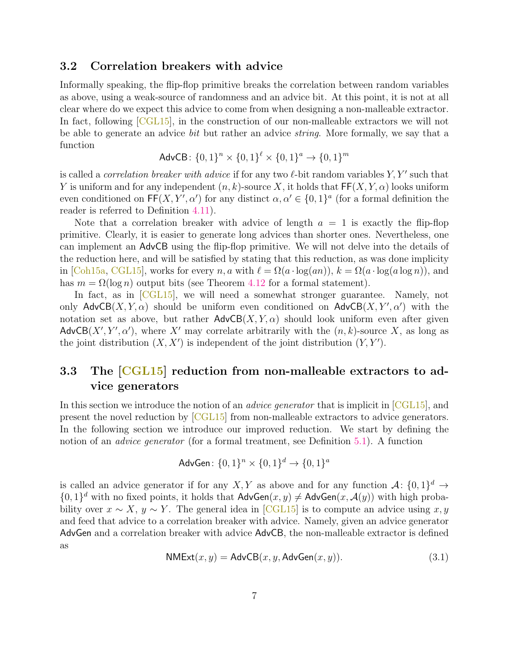### <span id="page-8-0"></span>3.2 Correlation breakers with advice

Informally speaking, the flip-flop primitive breaks the correlation between random variables as above, using a weak-source of randomness and an advice bit. At this point, it is not at all clear where do we expect this advice to come from when designing a non-malleable extractor. In fact, following [\[CGL15\]](#page-35-0), in the construction of our non-malleable extractors we will not be able to generate an advice bit but rather an advice string. More formally, we say that a function

$$
AdvCB: \{0, 1\}^n \times \{0, 1\}^{\ell} \times \{0, 1\}^a \to \{0, 1\}^m
$$

is called a *correlation breaker with advice* if for any two  $\ell$ -bit random variables  $Y, Y'$  such that Y is uniform and for any independent  $(n, k)$ -source X, it holds that  $\mathsf{FF}(X, Y, \alpha)$  looks uniform even conditioned on  $\mathsf{FF}(X, Y', \alpha')$  for any distinct  $\alpha, \alpha' \in \{0, 1\}^a$  (for a formal definition the reader is referred to Definition [4.11\)](#page-16-2).

Note that a correlation breaker with advice of length  $a = 1$  is exactly the flip-flop primitive. Clearly, it is easier to generate long advices than shorter ones. Nevertheless, one can implement an AdvCB using the flip-flop primitive. We will not delve into the details of the reduction here, and will be satisfied by stating that this reduction, as was done implicity in  $[Ch15a, CGL15]$  $[Ch15a, CGL15]$ , works for every n, a with  $\ell = \Omega(a \cdot \log(an)), k = \Omega(a \cdot \log(a \log n))$ , and has  $m = \Omega(\log n)$  output bits (see Theorem [4.12](#page-16-3) for a formal statement).

In fact, as in [\[CGL15\]](#page-35-0), we will need a somewhat stronger guarantee. Namely, not only  $\mathsf{AdvCB}(X, Y, \alpha)$  should be uniform even conditioned on  $\mathsf{AdvCB}(X, Y', \alpha')$  with the notation set as above, but rather  $\mathsf{AdvCB}(X, Y, \alpha)$  should look uniform even after given  $\mathsf{AdvCB}(X', Y', \alpha')$ , where X' may correlate arbitrarily with the  $(n, k)$ -source X, as long as the joint distribution  $(X, X')$  is independent of the joint distribution  $(Y, Y')$ .

### <span id="page-8-1"></span>3.3 The [\[CGL15\]](#page-35-0) reduction from non-malleable extractors to advice generators

In this section we introduce the notion of an *advice generator* that is implicit in  $\lfloor$ CGL15 $\rfloor$ , and present the novel reduction by [\[CGL15\]](#page-35-0) from non-malleable extractors to advice generators. In the following section we introduce our improved reduction. We start by defining the notion of an *advice generator* (for a formal treatment, see Definition [5.1\)](#page-18-0). A function

$$
AdvGen: \{0, 1\}^n \times \{0, 1\}^d \to \{0, 1\}^d
$$

is called an advice generator if for any X, Y as above and for any function  $\mathcal{A}$ :  $\{0,1\}^d \to$  $\{0,1\}^d$  with no fixed points, it holds that  $\mathsf{AdvGen}(x, y) \neq \mathsf{AdvGen}(x, \mathcal{A}(y))$  with high probability over  $x \sim X$ ,  $y \sim Y$ . The general idea in [\[CGL15\]](#page-35-0) is to compute an advice using  $x, y$ and feed that advice to a correlation breaker with advice. Namely, given an advice generator AdvGen and a correlation breaker with advice AdvCB, the non-malleable extractor is defined as

<span id="page-8-2"></span>
$$
NMExt(x, y) = AdvCB(x, y, AdvGen(x, y)).
$$
\n(3.1)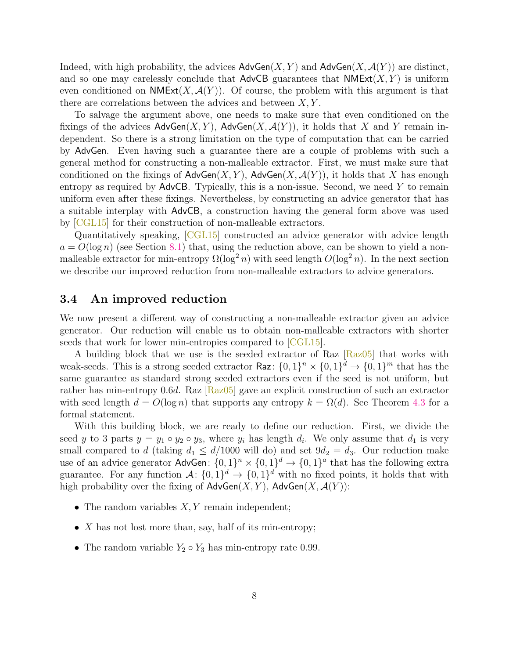Indeed, with high probability, the advices  $\mathsf{AdvGen}(X, Y)$  and  $\mathsf{AdvGen}(X, \mathcal{A}(Y))$  are distinct, and so one may carelessly conclude that  $\mathsf{AdvCB}$  guarantees that  $\mathsf{NMExt}(X, Y)$  is uniform even conditioned on  $NMExt(X, \mathcal{A}(Y))$ . Of course, the problem with this argument is that there are correlations between the advices and between  $X, Y$ .

To salvage the argument above, one needs to make sure that even conditioned on the fixings of the advices  $\mathsf{AdvGen}(X, Y)$ ,  $\mathsf{AdvGen}(X, \mathcal{A}(Y))$ , it holds that X and Y remain independent. So there is a strong limitation on the type of computation that can be carried by AdvGen. Even having such a guarantee there are a couple of problems with such a general method for constructing a non-malleable extractor. First, we must make sure that conditioned on the fixings of  $\mathsf{AdvGen}(X, Y)$ ,  $\mathsf{AdvGen}(X, \mathcal{A}(Y))$ , it holds that X has enough entropy as required by  $\mathsf{AdvCB}.$  Typically, this is a non-issue. Second, we need Y to remain uniform even after these fixings. Nevertheless, by constructing an advice generator that has a suitable interplay with AdvCB, a construction having the general form above was used by [\[CGL15\]](#page-35-0) for their construction of non-malleable extractors.

Quantitatively speaking, [\[CGL15\]](#page-35-0) constructed an advice generator with advice length  $a = O(\log n)$  (see Section [8.1\)](#page-26-1) that, using the reduction above, can be shown to yield a nonmalleable extractor for min-entropy  $\Omega(\log^2 n)$  with seed length  $O(\log^2 n)$ . In the next section we describe our improved reduction from non-malleable extractors to advice generators.

### <span id="page-9-0"></span>3.4 An improved reduction

We now present a different way of constructing a non-malleable extractor given an advice generator. Our reduction will enable us to obtain non-malleable extractors with shorter seeds that work for lower min-entropies compared to  $\lfloor$ CGL15.

A building block that we use is the seeded extractor of Raz [\[Raz05\]](#page--1-6) that works with weak-seeds. This is a strong seeded extractor  $\text{Raz}$ :  $\{0,1\}^n \times \{0,1\}^d \to \{0,1\}^m$  that has the same guarantee as standard strong seeded extractors even if the seed is not uniform, but rather has min-entropy 0.6d. Raz  $[Raz05]$  gave an explicit construction of such an extractor with seed length  $d = O(\log n)$  that supports any entropy  $k = \Omega(d)$ . See Theorem [4.3](#page-14-2) for a formal statement.

With this building block, we are ready to define our reduction. First, we divide the seed y to 3 parts  $y = y_1 \circ y_2 \circ y_3$ , where  $y_i$  has length  $d_i$ . We only assume that  $d_1$  is very small compared to d (taking  $d_1 \leq d/1000$  will do) and set  $9d_2 = d_3$ . Our reduction make use of an advice generator  $\mathsf{AdvGen}: \{0,1\}^n \times \{0,1\}^d \to \{0,1\}^a$  that has the following extra guarantee. For any function  $\mathcal{A}$ :  $\{0,1\}^d \to \{0,1\}^d$  with no fixed points, it holds that with high probability over the fixing of  $\mathsf{AdvGen}(X, Y)$ ,  $\mathsf{AdvGen}(X, \mathcal{A}(Y))$ :

- The random variables  $X, Y$  remain independent;
- $X$  has not lost more than, say, half of its min-entropy;
- The random variable  $Y_2 \circ Y_3$  has min-entropy rate 0.99.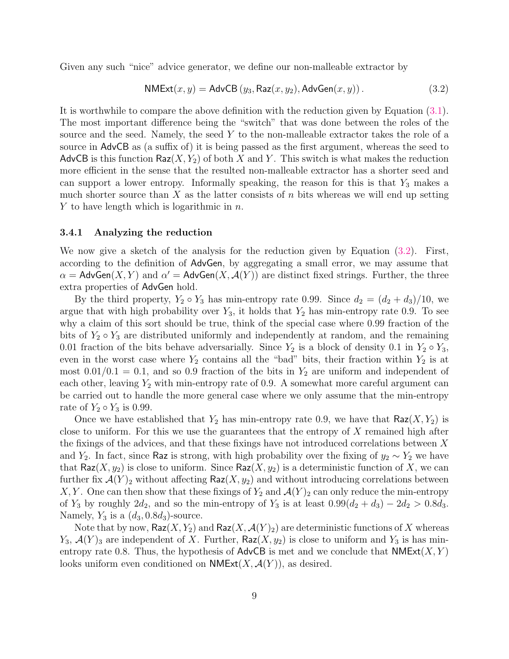Given any such "nice" advice generator, we define our non-malleable extractor by

<span id="page-10-0"></span>
$$
\mathsf{NMExt}(x, y) = \mathsf{AdvCB}\left(y_3, \mathsf{Raz}(x, y_2), \mathsf{AdvGen}(x, y)\right). \tag{3.2}
$$

It is worthwhile to compare the above definition with the reduction given by Equation [\(3.1\)](#page-8-2). The most important difference being the "switch" that was done between the roles of the source and the seed. Namely, the seed Y to the non-malleable extractor takes the role of a source in AdvCB as (a suffix of) it is being passed as the first argument, whereas the seed to AdvCB is this function Raz $(X, Y_2)$  of both X and Y. This switch is what makes the reduction more efficient in the sense that the resulted non-malleable extractor has a shorter seed and can support a lower entropy. Informally speaking, the reason for this is that  $Y_3$  makes a much shorter source than  $X$  as the latter consists of  $n$  bits whereas we will end up setting Y to have length which is logarithmic in  $n$ .

#### 3.4.1 Analyzing the reduction

We now give a sketch of the analysis for the reduction given by Equation  $(3.2)$ . First, according to the definition of AdvGen, by aggregating a small error, we may assume that  $\alpha =$  AdvGen $(X, Y)$  and  $\alpha' =$  AdvGen $(X, \mathcal{A}(Y))$  are distinct fixed strings. Further, the three extra properties of AdvGen hold.

By the third property,  $Y_2 \circ Y_3$  has min-entropy rate 0.99. Since  $d_2 = (d_2 + d_3)/10$ , we argue that with high probability over  $Y_3$ , it holds that  $Y_2$  has min-entropy rate 0.9. To see why a claim of this sort should be true, think of the special case where 0.99 fraction of the bits of  $Y_2 \circ Y_3$  are distributed uniformly and independently at random, and the remaining 0.01 fraction of the bits behave adversarially. Since  $Y_2$  is a block of density 0.1 in  $Y_2 \circ Y_3$ , even in the worst case where  $Y_2$  contains all the "bad" bits, their fraction within  $Y_2$  is at most  $0.01/0.1 = 0.1$ , and so 0.9 fraction of the bits in  $Y_2$  are uniform and independent of each other, leaving  $Y_2$  with min-entropy rate of 0.9. A somewhat more careful argument can be carried out to handle the more general case where we only assume that the min-entropy rate of  $Y_2 \circ Y_3$  is 0.99.

Once we have established that  $Y_2$  has min-entropy rate 0.9, we have that  $\textsf{Raz}(X, Y_2)$  is close to uniform. For this we use the guarantees that the entropy of  $X$  remained high after the fixings of the advices, and that these fixings have not introduced correlations between X and Y<sub>2</sub>. In fact, since Raz is strong, with high probability over the fixing of  $y_2 \sim Y_2$  we have that Raz $(X, y_2)$  is close to uniform. Since Raz $(X, y_2)$  is a deterministic function of X, we can further fix  $\mathcal{A}(Y)_2$  without affecting Raz $(X, y_2)$  and without introducing correlations between X, Y. One can then show that these fixings of  $Y_2$  and  $\mathcal{A}(Y)_2$  can only reduce the min-entropy of  $Y_3$  by roughly  $2d_2$ , and so the min-entropy of  $Y_3$  is at least  $0.99(d_2 + d_3) - 2d_2 > 0.8d_3$ . Namely,  $Y_3$  is a  $(d_3, 0.8d_3)$ -source.

Note that by now,  $\mathsf{Raz}(X, Y_2)$  and  $\mathsf{Raz}(X, \mathcal{A}(Y)_2)$  are deterministic functions of X whereas  $Y_3, \mathcal{A}(Y)_3$  are independent of X. Further, Raz $(X, y_2)$  is close to uniform and  $Y_3$  is has minentropy rate 0.8. Thus, the hypothesis of AdvCB is met and we conclude that  $NMExt(X, Y)$ looks uniform even conditioned on  $\mathsf{NMExt}(X,\mathcal{A}(Y))$ , as desired.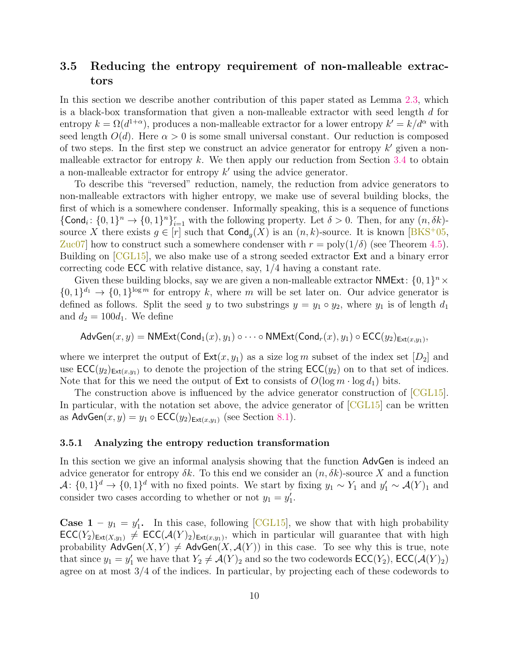### <span id="page-11-0"></span>3.5 Reducing the entropy requirement of non-malleable extractors

In this section we describe another contribution of this paper stated as Lemma [2.3,](#page-6-2) which is a black-box transformation that given a non-malleable extractor with seed length d for entropy  $k = \Omega(d^{1+\alpha})$ , produces a non-malleable extractor for a lower entropy  $k' = k/d^{\alpha}$  with seed length  $O(d)$ . Here  $\alpha > 0$  is some small universal constant. Our reduction is composed of two steps. In the first step we construct an advice generator for entropy  $k'$  given a non-malleable extractor for entropy k. We then apply our reduction from Section [3.4](#page-9-0) to obtain a non-malleable extractor for entropy  $k'$  using the advice generator.

To describe this "reversed" reduction, namely, the reduction from advice generators to non-malleable extractors with higher entropy, we make use of several building blocks, the first of which is a somewhere condenser. Informally speaking, this is a sequence of functions  $\{\textsf{Cond}_i\colon \{0,1\}^n \to \{0,1\}^n\}_{i=1}^r$  with the following property. Let  $\delta > 0$ . Then, for any  $(n, \delta k)$ source X there exists  $g \in [r]$  such that  $\text{Cond}_g(X)$  is an  $(n, k)$ -source. It is known [\[BKS](#page-35-9)<sup>+</sup>05, Zuc07 how to construct such a somewhere condenser with  $r = \text{poly}(1/\delta)$  (see Theorem [4.5\)](#page-15-2). Building on [\[CGL15\]](#page-35-0), we also make use of a strong seeded extractor Ext and a binary error correcting code ECC with relative distance, say, 1/4 having a constant rate.

Given these building blocks, say we are given a non-malleable extractor NMExt:  $\{0,1\}^n \times$  $\{0,1\}^{d_1} \to \{0,1\}^{\log m}$  for entropy k, where m will be set later on. Our advice generator is defined as follows. Split the seed y to two substrings  $y = y_1 \circ y_2$ , where  $y_1$  is of length  $d_1$ and  $d_2 = 100d_1$ . We define

$$
\mathsf{AdvGen}(x, y) = \mathsf{NMExt}(\mathsf{Cond}_1(x), y_1) \circ \cdots \circ \mathsf{NMExt}(\mathsf{Cond}_r(x), y_1) \circ \mathsf{ECC}(y_2)_{\mathsf{Ext}(x, y_1)},
$$

where we interpret the output of  $\text{Ext}(x, y_1)$  as a size log m subset of the index set  $[D_2]$  and use  $\mathsf{ECC}(y_2)_{\mathsf{Ext}(x,y_1)}$  to denote the projection of the string  $\mathsf{ECC}(y_2)$  on to that set of indices. Note that for this we need the output of Ext to consists of  $O(\log m \cdot \log d_1)$  bits.

The construction above is influenced by the advice generator construction of [\[CGL15\]](#page-35-0). In particular, with the notation set above, the advice generator of  $\sqrt{CGL15}$  can be written as  $\mathsf{AdvGen}(x, y) = y_1 \circ \mathsf{ECC}(y_2)_{\mathsf{Ext}(x, y_1)}$  (see Section [8.1\)](#page-26-1).

#### 3.5.1 Analyzing the entropy reduction transformation

In this section we give an informal analysis showing that the function AdvGen is indeed an advice generator for entropy  $\delta k$ . To this end we consider an  $(n, \delta k)$ -source X and a function  $\mathcal{A} \colon \{0,1\}^d \to \{0,1\}^d$  with no fixed points. We start by fixing  $y_1 \sim Y_1$  and  $y_1' \sim \mathcal{A}(Y)_1$  and consider two cases according to whether or not  $y_1 = y'_1$ .

**Case 1** –  $y_1 = y'_1$ . In this case, following [\[CGL15\]](#page-35-0), we show that with high probability  $\mathsf{ECC}(Y_2)_{\mathsf{Ext}(X,y_1)} \neq \mathsf{ECC}(\mathcal{A}(Y)_2)_{\mathsf{Ext}(x,y_1)}$ , which in particular will guarantee that with high probability  $\mathsf{AdvGen}(X, Y) \neq \mathsf{AdvGen}(X, \mathcal{A}(Y))$  in this case. To see why this is true, note that since  $y_1 = y'_1$  we have that  $Y_2 \neq \mathcal{A}(Y)_2$  and so the two codewords  $\mathsf{ECC}(Y_2)$ ,  $\mathsf{ECC}(\mathcal{A}(Y)_2)$ agree on at most 3/4 of the indices. In particular, by projecting each of these codewords to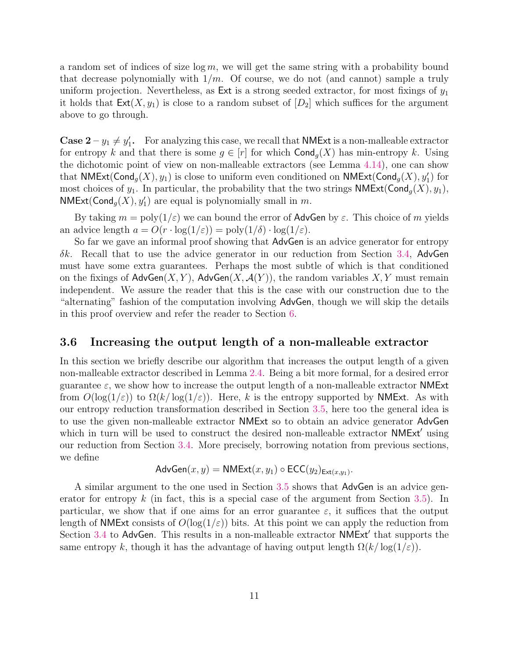a random set of indices of size  $\log m$ , we will get the same string with a probability bound that decrease polynomially with  $1/m$ . Of course, we do not (and cannot) sample a truly uniform projection. Nevertheless, as Ext is a strong seeded extractor, for most fixings of  $y_1$ it holds that  $Ext(X, y_1)$  is close to a random subset of  $[D_2]$  which suffices for the argument above to go through.

**Case 2** –  $y_1 \neq y'_1$ . For analyzing this case, we recall that **NMExt** is a non-malleable extractor for entropy k and that there is some  $g \in [r]$  for which  $\text{Cond}_q(X)$  has min-entropy k. Using the dichotomic point of view on non-malleable extractors (see Lemma [4.14\)](#page-16-1), one can show that  $\mathsf{NMExt}(\mathsf{Cond}_g(X), y_1)$  is close to uniform even conditioned on  $\mathsf{NMExt}(\mathsf{Cond}_g(X), y_1')$  for most choices of  $y_1$ . In particular, the probability that the two strings **NMExt**( $\text{Cond}_q(X), y_1$ ),  $NMExt(Cond<sub>g</sub>(X), y<sub>1</sub>)$  are equal is polynomially small in m.

By taking  $m = poly(1/\varepsilon)$  we can bound the error of AdvGen by  $\varepsilon$ . This choice of m yields an advice length  $a = O(r \cdot \log(1/\varepsilon)) = \text{poly}(1/\delta) \cdot \log(1/\varepsilon)$ .

So far we gave an informal proof showing that AdvGen is an advice generator for entropy  $\delta k$ . Recall that to use the advice generator in our reduction from Section [3.4,](#page-9-0) AdvGen must have some extra guarantees. Perhaps the most subtle of which is that conditioned on the fixings of  $\mathsf{AdvGen}(X, Y)$ ,  $\mathsf{AdvGen}(X, \mathcal{A}(Y))$ , the random variables  $X, Y$  must remain independent. We assure the reader that this is the case with our construction due to the "alternating" fashion of the computation involving AdvGen, though we will skip the details in this proof overview and refer the reader to Section [6.](#page-20-0)

#### <span id="page-12-0"></span>3.6 Increasing the output length of a non-malleable extractor

In this section we briefly describe our algorithm that increases the output length of a given non-malleable extractor described in Lemma [2.4.](#page-6-3) Being a bit more formal, for a desired error guarantee  $\varepsilon$ , we show how to increase the output length of a non-malleable extractor **NME**xt from  $O(\log(1/\varepsilon))$  to  $\Omega(k/\log(1/\varepsilon))$ . Here, k is the entropy supported by **NMExt**. As with our entropy reduction transformation described in Section [3.5,](#page-11-0) here too the general idea is to use the given non-malleable extractor NMExt so to obtain an advice generator AdvGen which in turn will be used to construct the desired non-malleable extractor NMExt' using our reduction from Section [3.4.](#page-9-0) More precisely, borrowing notation from previous sections, we define  $\lambda$  MMF<sub>1</sub>(x,  $\lambda$  ECC( $\lambda$ )

$$
AdvGen(x, y) = \mathsf{NMExt}(x, y_1) \circ \mathsf{ECC}(y_2)_{\mathsf{Ext}(x, y_1)}.
$$

A similar argument to the one used in Section [3.5](#page-11-0) shows that AdvGen is an advice generator for entropy  $k$  (in fact, this is a special case of the argument from Section [3.5\)](#page-11-0). In particular, we show that if one aims for an error guarantee  $\varepsilon$ , it suffices that the output length of NMExt consists of  $O(\log(1/\varepsilon))$  bits. At this point we can apply the reduction from Section [3.4](#page-9-0) to AdvGen. This results in a non-malleable extractor NMExt' that supports the same entropy k, though it has the advantage of having output length  $\Omega(k/\log(1/\varepsilon)).$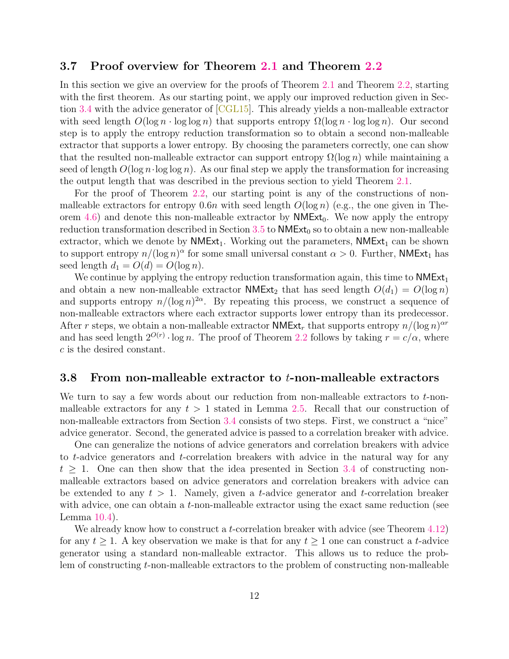#### <span id="page-13-0"></span>3.7 Proof overview for Theorem [2.1](#page-5-3) and Theorem [2.2](#page-5-4)

In this section we give an overview for the proofs of Theorem [2.1](#page-5-3) and Theorem [2.2,](#page-5-4) starting with the first theorem. As our starting point, we apply our improved reduction given in Section [3.4](#page-9-0) with the advice generator of [\[CGL15\]](#page-35-0). This already yields a non-malleable extractor with seed length  $O(\log n \cdot \log \log n)$  that supports entropy  $\Omega(\log n \cdot \log \log n)$ . Our second step is to apply the entropy reduction transformation so to obtain a second non-malleable extractor that supports a lower entropy. By choosing the parameters correctly, one can show that the resulted non-malleable extractor can support entropy  $\Omega(\log n)$  while maintaining a seed of length  $O(\log n \cdot \log \log n)$ . As our final step we apply the transformation for increasing the output length that was described in the previous section to yield Theorem [2.1.](#page-5-3)

For the proof of Theorem [2.2,](#page-5-4) our starting point is any of the constructions of nonmalleable extractors for entropy 0.6n with seed length  $O(\log n)$  (e.g., the one given in The-orem [4.6\)](#page-15-3) and denote this non-malleable extractor by  $NMExt<sub>0</sub>$ . We now apply the entropy reduction transformation described in Section [3.5](#page-11-0) to  $NMExt_0$  so to obtain a new non-malleable extractor, which we denote by  $NMExt_1$ . Working out the parameters,  $NMExt_1$  can be shown to support entropy  $n/(\log n)^\alpha$  for some small universal constant  $\alpha > 0$ . Further, NMExt<sub>1</sub> has seed length  $d_1 = O(d) = O(\log n)$ .

We continue by applying the entropy reduction transformation again, this time to  $NMExt_1$ and obtain a new non-malleable extractor **NMExt**<sub>2</sub> that has seed length  $O(d_1) = O(\log n)$ and supports entropy  $n/(\log n)^{2\alpha}$ . By repeating this process, we construct a sequence of non-malleable extractors where each extractor supports lower entropy than its predecessor. After r steps, we obtain a non-malleable extractor  $\mathsf{NMExt}_r$  that supports entropy  $n/(\log n)^{\alpha r}$ and has seed length  $2^{O(r)} \cdot \log n$ . The proof of Theorem [2.2](#page-5-4) follows by taking  $r = c/\alpha$ , where c is the desired constant.

#### <span id="page-13-1"></span>3.8 From non-malleable extractor to t-non-malleable extractors

We turn to say a few words about our reduction from non-malleable extractors to  $t$ -nonmalleable extractors for any  $t > 1$  stated in Lemma [2.5.](#page-7-2) Recall that our construction of non-malleable extractors from Section [3.4](#page-9-0) consists of two steps. First, we construct a "nice" advice generator. Second, the generated advice is passed to a correlation breaker with advice.

One can generalize the notions of advice generators and correlation breakers with advice to t-advice generators and t-correlation breakers with advice in the natural way for any  $t \geq 1$ . One can then show that the idea presented in Section [3.4](#page-9-0) of constructing nonmalleable extractors based on advice generators and correlation breakers with advice can be extended to any  $t > 1$ . Namely, given a t-advice generator and t-correlation breaker with advice, one can obtain a t-non-malleable extractor using the exact same reduction (see Lemma [10.4\)](#page-30-0).

We already know how to construct a *t*-correlation breaker with advice (see Theorem [4.12\)](#page-16-3) for any  $t \geq 1$ . A key observation we make is that for any  $t \geq 1$  one can construct a t-advice generator using a standard non-malleable extractor. This allows us to reduce the problem of constructing t-non-malleable extractors to the problem of constructing non-malleable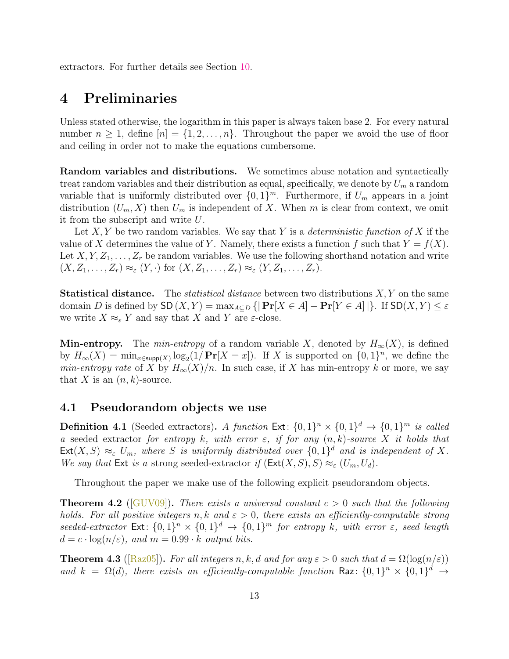extractors. For further details see Section [10.](#page-29-0)

### <span id="page-14-0"></span>4 Preliminaries

Unless stated otherwise, the logarithm in this paper is always taken base 2. For every natural number  $n \geq 1$ , define  $[n] = \{1, 2, ..., n\}$ . Throughout the paper we avoid the use of floor and ceiling in order not to make the equations cumbersome.

Random variables and distributions. We sometimes abuse notation and syntactically treat random variables and their distribution as equal, specifically, we denote by  $U_m$  a random variable that is uniformly distributed over  $\{0,1\}^m$ . Furthermore, if  $U_m$  appears in a joint distribution  $(U_m, X)$  then  $U_m$  is independent of X. When m is clear from context, we omit it from the subscript and write U.

Let X, Y be two random variables. We say that Y is a *deterministic function of* X if the value of X determines the value of Y. Namely, there exists a function f such that  $Y = f(X)$ . Let  $X, Y, Z_1, \ldots, Z_r$  be random variables. We use the following shorthand notation and write  $(X, Z_1, \ldots, Z_r) \approx_{\varepsilon} (Y, \cdot)$  for  $(X, Z_1, \ldots, Z_r) \approx_{\varepsilon} (Y, Z_1, \ldots, Z_r)$ .

**Statistical distance.** The *statistical distance* between two distributions  $X, Y$  on the same domain D is defined by  $\mathsf{SD}(X, Y) = \max_{A \subseteq D} \{|\Pr[X \in A] - \Pr[Y \in A]| \}$ . If  $\mathsf{SD}(X, Y) \leq \varepsilon$ we write  $X \approx_{\varepsilon} Y$  and say that X and Y are  $\varepsilon$ -close.

**Min-entropy.** The *min-entropy* of a random variable X, denoted by  $H_{\infty}(X)$ , is defined by  $H_{\infty}(X) = \min_{x \in \text{supp}(X)} \log_2(1/\Pr[X = x])$ . If X is supported on  $\{0, 1\}^n$ , we define the *min-entropy rate* of X by  $H_{\infty}(X)/n$ . In such case, if X has min-entropy k or more, we say that X is an  $(n, k)$ -source.

#### <span id="page-14-1"></span>4.1 Pseudorandom objects we use

**Definition 4.1** (Seeded extractors). A function  $Ext: \{0,1\}^n \times \{0,1\}^d \rightarrow \{0,1\}^m$  is called a seeded extractor for entropy k, with error  $\varepsilon$ , if for any  $(n, k)$ -source X it holds that  $\textsf{Ext}(X, S) \approx_{\varepsilon} U_m$ , where S is uniformly distributed over  $\{0, 1\}^d$  and is independent of X. We say that Ext is a strong seeded-extractor if  $(\text{Ext}(X, S), S) \approx_{\varepsilon} (U_m, U_d)$ .

Throughout the paper we make use of the following explicit pseudorandom objects.

<span id="page-14-3"></span>**Theorem 4.2** (GUV09)). There exists a universal constant  $c > 0$  such that the following holds. For all positive integers n, k and  $\varepsilon > 0$ , there exists an efficiently-computable strong seeded-extractor  $Ext: \{0,1\}^n \times \{0,1\}^d \rightarrow \{0,1\}^m$  for entropy k, with error  $\varepsilon$ , seed length  $d = c \cdot \log(n/\varepsilon)$ , and  $m = 0.99 \cdot k$  output bits.

<span id="page-14-2"></span>**Theorem 4.3** ( $[Raz05]$ ). For all integers n, k, d and for any  $\varepsilon > 0$  such that  $d = \Omega(\log(n/\varepsilon))$ and  $k = \Omega(d)$ , there exists an efficiently-computable function Raz:  $\{0,1\}^n \times \{0,1\}^d \rightarrow$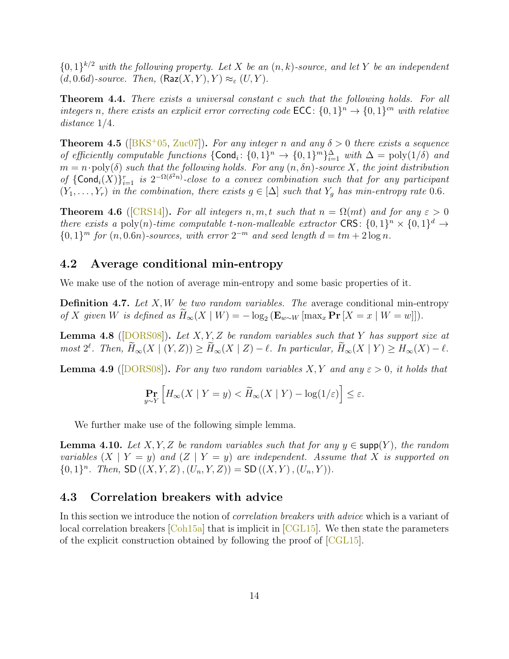${0,1}^{k/2}$  with the following property. Let X be an  $(n, k)$ -source, and let Y be an independent  $(d, 0.6d)$ -source. Then,  $(\text{Raz}(X, Y), Y) \approx_{\varepsilon} (U, Y)$ .

<span id="page-15-7"></span>Theorem 4.4. There exists a universal constant c such that the following holds. For all integers n, there exists an explicit error correcting code  $\mathsf{ECC}$ :  $\{0,1\}^n \to \{0,1\}^{cn}$  with relative distance 1/4.

<span id="page-15-2"></span>**Theorem 4.5** ( $\text{[BKS+05, Zuc07]}$  $\text{[BKS+05, Zuc07]}$  $\text{[BKS+05, Zuc07]}$  $\text{[BKS+05, Zuc07]}$  $\text{[BKS+05, Zuc07]}$ ). For any integer n and any  $\delta > 0$  there exists a sequence of efficiently computable functions  $\{\text{Cond}_i: \{0,1\}^n \to \{0,1\}^m\}_{i=1}^{\Delta}$  with  $\Delta = \text{poly}(1/\delta)$  and  $m = n \cdot \text{poly}(\delta)$  such that the following holds. For any  $(n, \delta n)$ -source X, the joint distribution of  $\{\textsf{Cond}_i(X)\}_{i=1}^r$  is  $2^{-\Omega(\delta^2 n)}$ -close to a convex combination such that for any participant  $(Y_1, \ldots, Y_r)$  in the combination, there exists  $g \in [\Delta]$  such that  $Y_q$  has min-entropy rate 0.6.

<span id="page-15-3"></span>**Theorem 4.6** ([\[CRS14\]](#page-35-4)). For all integers n, m, t such that  $n = \Omega(mt)$  and for any  $\varepsilon > 0$ there exists a poly(n)-time computable t-non-malleable extractor CRS:  $\{0,1\}^n \times \{0,1\}^d \rightarrow$  ${0,1}^m$  for  $(n,0.6n)$ -sources, with error  $2^{-m}$  and seed length  $d = tm + 2 \log n$ .

#### <span id="page-15-0"></span>4.2 Average conditional min-entropy

We make use of the notion of average min-entropy and some basic properties of it.

**Definition 4.7.** Let  $X, W$  be two random variables. The average conditional min-entropy of X given W is defined as  $H_{\infty}(X \mid W) = -\log_2 (\mathbf{E}_{w \sim W} [\max_x \mathbf{Pr}[X = x \mid W = w]]).$ 

<span id="page-15-4"></span>**Lemma 4.8** ( $\text{[DORS08]}$  $\text{[DORS08]}$  $\text{[DORS08]}$ ). Let X, Y, Z be random variables such that Y has support size at  $most \ 2^{\ell}$ . Then,  $\widetilde{H}_{\infty}(X \mid (Y, Z)) \geq \widetilde{H}_{\infty}(X \mid Z) - \ell$ . In particular,  $\widetilde{H}_{\infty}(X \mid Y) \geq H_{\infty}(X) - \ell$ .

<span id="page-15-5"></span>**Lemma 4.9** ([\[DORS08\]](#page-35-10)). For any two random variables X, Y and any  $\varepsilon > 0$ , it holds that

$$
\Pr_{y \sim Y} \left[ H_{\infty}(X \mid Y = y) < \widetilde{H}_{\infty}(X \mid Y) - \log(1/\varepsilon) \right] \le \varepsilon.
$$

We further make use of the following simple lemma.

<span id="page-15-6"></span>**Lemma 4.10.** Let  $X, Y, Z$  be random variables such that for any  $y \in \text{supp}(Y)$ , the random variables  $(X \mid Y = y)$  and  $(Z \mid Y = y)$  are independent. Assume that X is supported on  ${0,1}^n$ . Then, SD  $((X,Y,Z),(U_n,Y,Z)) =$  SD  $((X,Y),(U_n,Y))$ .

#### <span id="page-15-1"></span>4.3 Correlation breakers with advice

In this section we introduce the notion of correlation breakers with advice which is a variant of local correlation breakers  $[Coh15a]$  that is implicit in  $[CGL15]$ . We then state the parameters of the explicit construction obtained by following the proof of [\[CGL15\]](#page-35-0).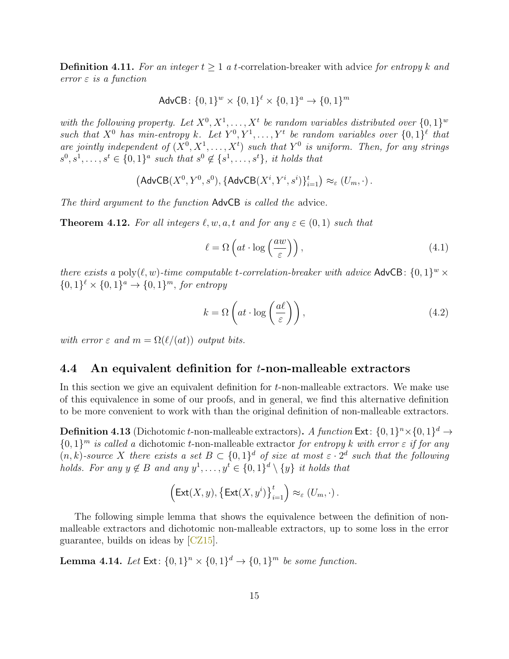<span id="page-16-2"></span>**Definition 4.11.** For an integer  $t \geq 1$  a t-correlation-breaker with advice for entropy k and error  $\varepsilon$  is a function

$$
AdvCB: \{0, 1\}^{w} \times \{0, 1\}^{\ell} \times \{0, 1\}^{a} \rightarrow \{0, 1\}^{m}
$$

with the following property. Let  $X^0, X^1, \ldots, X^t$  be random variables distributed over  $\{0,1\}^w$ such that  $X^0$  has min-entropy k. Let  $Y^0, Y^1, \ldots, Y^t$  be random variables over  $\{0,1\}^{\ell}$  that are jointly independent of  $(X^0, X^1, ..., X^t)$  such that  $Y^0$  is uniform. Then, for any strings  $s^0, s^1, \ldots, s^t \in \{0,1\}^a$  such that  $s^0 \notin \{s^1, \ldots, s^t\}$ , it holds that

$$
(\mathsf{AdvCB}(X^0, Y^0, s^0), \{\mathsf{AdvCB}(X^i, Y^i, s^i)\}_{i=1}^t) \approx_{\varepsilon} (U_m, \cdot).
$$

The third argument to the function AdvCB is called the advice.

<span id="page-16-3"></span>**Theorem 4.12.** For all integers  $\ell, w, a, t$  and for any  $\varepsilon \in (0, 1)$  such that

<span id="page-16-4"></span>
$$
\ell = \Omega \left( at \cdot \log \left( \frac{aw}{\varepsilon} \right) \right),\tag{4.1}
$$

there exists a poly $(\ell, w)$ -time computable t-correlation-breaker with advice AdvCB:  $\{0, 1\}^w \times$  $\{0,1\}^{\ell} \times \{0,1\}^{\alpha} \rightarrow \{0,1\}^m$ , for entropy

<span id="page-16-5"></span>
$$
k = \Omega\left(at \cdot \log\left(\frac{a\ell}{\varepsilon}\right)\right),\tag{4.2}
$$

with error  $\varepsilon$  and  $m = \Omega(\ell/(at))$  output bits.

#### <span id="page-16-0"></span>4.4 An equivalent definition for t-non-malleable extractors

In this section we give an equivalent definition for t-non-malleable extractors. We make use of this equivalence in some of our proofs, and in general, we find this alternative definition to be more convenient to work with than the original definition of non-malleable extractors.

**Definition 4.13** (Dichotomic t-non-malleable extractors). A function Ext:  $\{0,1\}^n \times \{0,1\}^d \rightarrow$  $\{0,1\}^m$  is called a dichotomic t-non-malleable extractor for entropy k with error  $\varepsilon$  if for any  $(n, k)$ -source X there exists a set  $B \subset \{0, 1\}^d$  of size at most  $\varepsilon \cdot 2^d$  such that the following holds. For any  $y \notin B$  and any  $y^1, \ldots, y^t \in \{0,1\}^d \setminus \{y\}$  it holds that

$$
\left(\mathsf{Ext}(X,y), \left\{\mathsf{Ext}(X,y^i)\right\}_{i=1}^t\right) \approx_{\varepsilon} (U_m,\cdot).
$$

The following simple lemma that shows the equivalence between the definition of nonmalleable extractors and dichotomic non-malleable extractors, up to some loss in the error guarantee, builds on ideas by [\[CZ15\]](#page-35-1).

<span id="page-16-1"></span>**Lemma 4.14.** Let  $Ext: \{0,1\}^n \times \{0,1\}^d \rightarrow \{0,1\}^m$  be some function.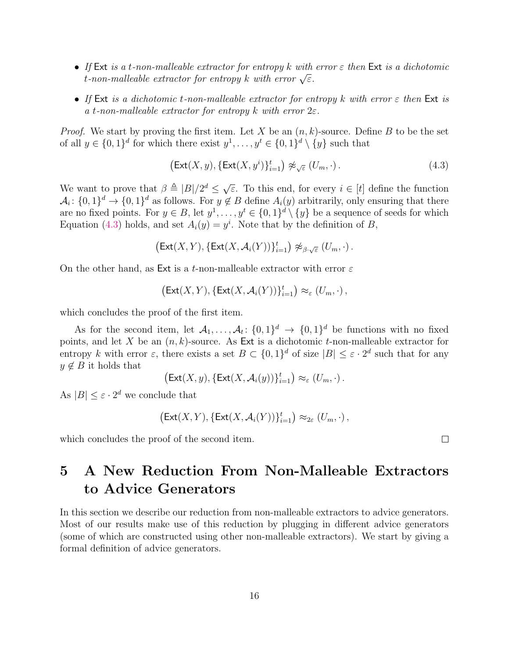- If Ext is a t-non-malleable extractor for entropy k with error  $\varepsilon$  then Ext is a dichotomic  $t$ -non-malleable extractor for entropy k with error  $\sqrt{\varepsilon}$ .
- If Ext is a dichotomic t-non-malleable extractor for entropy k with error  $\varepsilon$  then Ext is a t-non-malleable extractor for entropy k with error  $2\varepsilon$ .

*Proof.* We start by proving the first item. Let X be an  $(n, k)$ -source. Define B to be the set of all  $y \in \{0,1\}^d$  for which there exist  $y^1, \ldots, y^t \in \{0,1\}^d \setminus \{y\}$  such that

<span id="page-17-1"></span>
$$
\left(\text{Ext}(X,y), \{\text{Ext}(X,y^i)\}_{i=1}^t\right) \not\approx_{\sqrt{\varepsilon}} (U_m, \cdot). \tag{4.3}
$$

We want to prove that  $\beta \triangleq |B|/2^d \leq \sqrt{\ }$  $\overline{\varepsilon}$ . To this end, for every  $i \in [t]$  define the function  $\mathcal{A}_i: \{0,1\}^d \to \{0,1\}^d$  as follows. For  $y \notin B$  define  $A_i(y)$  arbitrarily, only ensuring that there are no fixed points. For  $y \in B$ , let  $y^1, \ldots, y^t \in \{0,1\}^d \setminus \{y\}$  be a sequence of seeds for which Equation [\(4.3\)](#page-17-1) holds, and set  $A_i(y) = y^i$ . Note that by the definition of B,

$$
\left(\mathsf{Ext}(X,Y),\{\mathsf{Ext}(X,\mathcal{A}_i(Y))\}_{i=1}^t\right)\not\approx_{\beta\cdot\sqrt{\varepsilon}}(U_m,\cdot)\,.
$$

On the other hand, as Ext is a t-non-malleable extractor with error  $\varepsilon$ 

 $\big( \mathsf{Ext}(X,Y), \{\mathsf{Ext}(X,\mathcal{A}_i(Y))\}_{i=1}^t \big) \approx_{\varepsilon} (U_m, \cdot)$ ,

which concludes the proof of the first item.

As for the second item, let  $A_1, \ldots, A_t: \{0,1\}^d \to \{0,1\}^d$  be functions with no fixed points, and let X be an  $(n, k)$ -source. As Ext is a dichotomic t-non-malleable extractor for entropy k with error  $\varepsilon$ , there exists a set  $B \subset \{0,1\}^d$  of size  $|B| \leq \varepsilon \cdot 2^d$  such that for any  $y \notin B$  it holds that

$$
\big(\mathsf{Ext}(X,y),\{\mathsf{Ext}(X,\mathcal{A}_i(y))\}_{i=1}^t\big)\approx_{\varepsilon} (U_m,\cdot)\,.
$$

As  $|B| \leq \varepsilon \cdot 2^d$  we conclude that

$$
\big(\mathsf{Ext}(X,Y),\{\mathsf{Ext}(X,\mathcal{A}_i(Y))\}_{i=1}^t\big)\approx_{2\varepsilon} (U_m,\cdot)\,,
$$

which concludes the proof of the second item.

## <span id="page-17-0"></span>5 A New Reduction From Non-Malleable Extractors to Advice Generators

In this section we describe our reduction from non-malleable extractors to advice generators. Most of our results make use of this reduction by plugging in different advice generators (some of which are constructed using other non-malleable extractors). We start by giving a formal definition of advice generators.

 $\Box$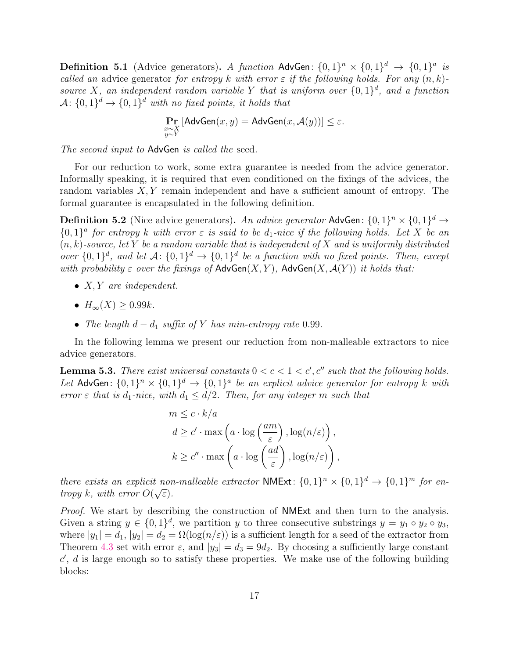<span id="page-18-0"></span>**Definition 5.1** (Advice generators). A function AdvGen:  $\{0,1\}^n \times \{0,1\}^d \rightarrow \{0,1\}^a$  is called an advice generator for entropy k with error  $\varepsilon$  if the following holds. For any  $(n, k)$ source X, an independent random variable Y that is uniform over  $\{0,1\}^d$ , and a function  $\mathcal{A} \colon \{0,1\}^d \to \{0,1\}^d$  with no fixed points, it holds that

$$
\Pr_{\substack{x \sim X \\ y \sim Y}} \left[ \mathsf{AdvGen}(x, y) = \mathsf{AdvGen}(x, \mathcal{A}(y)) \right] \le \varepsilon.
$$

The second input to AdvGen is called the seed.

For our reduction to work, some extra guarantee is needed from the advice generator. Informally speaking, it is required that even conditioned on the fixings of the advices, the random variables  $X, Y$  remain independent and have a sufficient amount of entropy. The formal guarantee is encapsulated in the following definition.

**Definition 5.2** (Nice advice generators). An advice generator AdvGen:  $\{0,1\}^n \times \{0,1\}^d \rightarrow$  ${0,1}^a$  for entropy k with error  $\varepsilon$  is said to be  $d_1$ -nice if the following holds. Let X be an  $(n, k)$ -source, let Y be a random variable that is independent of X and is uniformly distributed over  $\{0,1\}^d$ , and let  $\mathcal{A}$ :  $\{0,1\}^d \to \{0,1\}^d$  be a function with no fixed points. Then, except with probability  $\varepsilon$  over the fixings of  $\mathsf{AdvGen}(X, Y)$ ,  $\mathsf{AdvGen}(X, \mathcal{A}(Y))$  it holds that:

- $X, Y$  are independent.
- $H_{\infty}(X) \geq 0.99k$ .
- The length  $d d_1$  suffix of Y has min-entropy rate 0.99.

In the following lemma we present our reduction from non-malleable extractors to nice advice generators.

<span id="page-18-1"></span>**Lemma 5.3.** There exist universal constants  $0 < c < 1 < c'$ , c'' such that the following holds. Let AdvGen:  $\{0,1\}^n \times \{0,1\}^d \rightarrow \{0,1\}^a$  be an explicit advice generator for entropy k with error  $\varepsilon$  that is d<sub>1</sub>-nice, with  $d_1 \leq d/2$ . Then, for any integer m such that

$$
m \leq c \cdot k/a
$$
  
\n
$$
d \geq c' \cdot \max\left(a \cdot \log\left(\frac{am}{\varepsilon}\right), \log(n/\varepsilon)\right),
$$
  
\n
$$
k \geq c'' \cdot \max\left(a \cdot \log\left(\frac{ad}{\varepsilon}\right), \log(n/\varepsilon)\right),
$$

there exists an explicit non-malleable extractor **NMExt**:  $\{0,1\}^n \times \{0,1\}^d \rightarrow \{0,1\}^m$  for entropy k, with error  $O(\sqrt{\varepsilon})$ .

*Proof.* We start by describing the construction of **NME**xt and then turn to the analysis. Given a string  $y \in \{0,1\}^d$ , we partition y to three consecutive substrings  $y = y_1 \circ y_2 \circ y_3$ , where  $|y_1| = d_1$ ,  $|y_2| = d_2 = \Omega(\log(n/\varepsilon))$  is a sufficient length for a seed of the extractor from Theorem [4.3](#page-14-2) set with error  $\varepsilon$ , and  $|y_3| = d_3 = 9d_2$ . By choosing a sufficiently large constant  $c'$ ,  $d$  is large enough so to satisfy these properties. We make use of the following building blocks: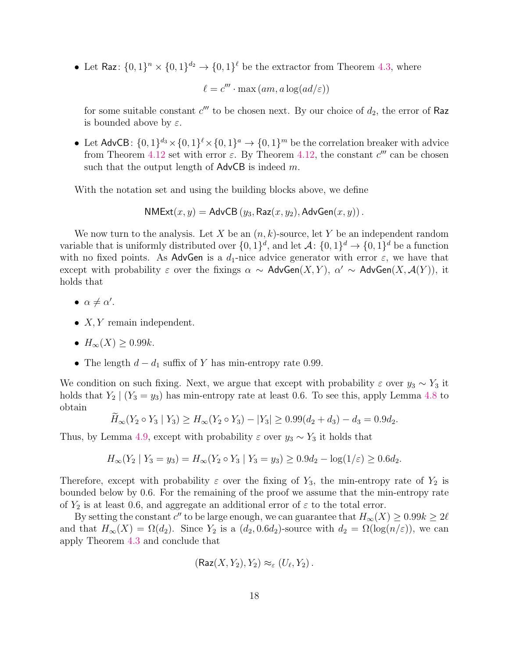• Let Raz:  $\{0,1\}^n \times \{0,1\}^d \to \{0,1\}^{\ell}$  be the extractor from Theorem [4.3,](#page-14-2) where

 $\ell = c''' \cdot \max{(am, a \log(ad/\varepsilon))}$ 

for some suitable constant  $c'''$  to be chosen next. By our choice of  $d_2$ , the error of Raz is bounded above by  $\varepsilon$ .

• Let AdvCB:  $\{0,1\}^{d_3} \times \{0,1\}^{\ell} \times \{0,1\}^a \to \{0,1\}^m$  be the correlation breaker with advice from Theorem [4.12](#page-16-3) set with error  $\varepsilon$ . By Theorem [4.12,](#page-16-3) the constant  $c'''$  can be chosen such that the output length of  $\mathsf{AdvCB}$  is indeed m.

With the notation set and using the building blocks above, we define

$$
\mathsf{NMExt}(x,y) = \mathsf{AdvCB}\left(y_3, \mathsf{Raz}(x,y_2), \mathsf{AdvGen}(x,y)\right).
$$

We now turn to the analysis. Let X be an  $(n, k)$ -source, let Y be an independent random variable that is uniformly distributed over  $\{0,1\}^d$ , and let  $\mathcal{A}$ :  $\{0,1\}^d \to \{0,1\}^d$  be a function with no fixed points. As AdvGen is a  $d_1$ -nice advice generator with error  $\varepsilon$ , we have that except with probability  $\varepsilon$  over the fixings  $\alpha \sim \text{AdvGen}(X, Y)$ ,  $\alpha' \sim \text{AdvGen}(X, \mathcal{A}(Y))$ , it holds that

- $\alpha \neq \alpha'$ .
- $X, Y$  remain independent.
- $H_{\infty}(X) \geq 0.99k$ .
- The length  $d d_1$  suffix of Y has min-entropy rate 0.99.

We condition on such fixing. Next, we argue that except with probability  $\varepsilon$  over  $y_3 \sim Y_3$  it holds that  $Y_2 | (Y_3 = y_3)$  has min-entropy rate at least 0.6. To see this, apply Lemma [4.8](#page-15-4) to obtain

$$
\widetilde{H}_{\infty}(Y_2 \circ Y_3 \mid Y_3) \ge H_{\infty}(Y_2 \circ Y_3) - |Y_3| \ge 0.99(d_2 + d_3) - d_3 = 0.9d_2.
$$

Thus, by Lemma [4.9,](#page-15-5) except with probability  $\varepsilon$  over  $y_3 \sim Y_3$  it holds that

$$
H_{\infty}(Y_2 \mid Y_3 = y_3) = H_{\infty}(Y_2 \circ Y_3 \mid Y_3 = y_3) \ge 0.9d_2 - \log(1/\varepsilon) \ge 0.6d_2.
$$

Therefore, except with probability  $\varepsilon$  over the fixing of  $Y_3$ , the min-entropy rate of  $Y_2$  is bounded below by 0.6. For the remaining of the proof we assume that the min-entropy rate of  $Y_2$  is at least 0.6, and aggregate an additional error of  $\varepsilon$  to the total error.

By setting the constant  $c''$  to be large enough, we can guarantee that  $H_{\infty}(X) \geq 0.99k \geq 2\ell$ and that  $H_{\infty}(X) = \Omega(d_2)$ . Since  $Y_2$  is a  $(d_2, 0.6d_2)$ -source with  $d_2 = \Omega(\log(n/\varepsilon))$ , we can apply Theorem [4.3](#page-14-2) and conclude that

$$
(\mathsf{Raz}(X,Y_2),Y_2)\approx_{\varepsilon} (U_{\ell},Y_2).
$$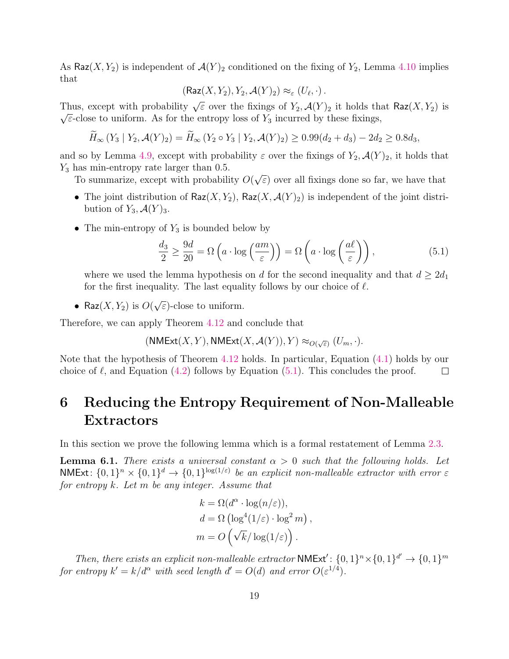As  $\textsf{Raz}(X, Y_2)$  is independent of  $\mathcal{A}(Y)_2$  conditioned on the fixing of  $Y_2$ , Lemma [4.10](#page-15-6) implies that

$$
(\mathsf{Raz}(X,Y_2),Y_2,\mathcal{A}(Y)_2)\approx_{\varepsilon} (U_{\ell},\cdot).
$$

Thus, except with probability  $\sqrt{\varepsilon}$  over the fixings of  $Y_2$ ,  $\mathcal{A}(Y)_2$  it holds that Raz $(X, Y_2)$  is  $\sqrt{\varepsilon}$ -close to uniform. As for the entropy loss of  $Y_3$  incurred by these fixings,

$$
\widetilde{H}_{\infty}(Y_3 | Y_2, \mathcal{A}(Y)_2) = \widetilde{H}_{\infty}(Y_2 \circ Y_3 | Y_2, \mathcal{A}(Y)_2) \ge 0.99(d_2 + d_3) - 2d_2 \ge 0.8d_3,
$$

and so by Lemma [4.9,](#page-15-5) except with probability  $\varepsilon$  over the fixings of  $Y_2$ ,  $\mathcal{A}(Y)_2$ , it holds that  $Y_3$  has min-entropy rate larger than 0.5. √

To summarize, except with probability O(  $\epsilon$ ) over all fixings done so far, we have that

- The joint distribution of  $\textsf{Raz}(X, Y_2)$ ,  $\textsf{Raz}(X, \mathcal{A}(Y)_2)$  is independent of the joint distribution of  $Y_3, \mathcal{A}(Y)_3$ .
- The min-entropy of  $Y_3$  is bounded below by

<span id="page-20-2"></span>
$$
\frac{d_3}{2} \ge \frac{9d}{20} = \Omega\left(a \cdot \log\left(\frac{am}{\varepsilon}\right)\right) = \Omega\left(a \cdot \log\left(\frac{a\ell}{\varepsilon}\right)\right),\tag{5.1}
$$

where we used the lemma hypothesis on d for the second inequality and that  $d \geq 2d_1$ for the first inequality. The last equality follows by our choice of  $\ell$ .

• Raz $(X, Y_2)$  is  $O(Y)$ √  $\overline{\varepsilon}$ )-close to uniform.

Therefore, we can apply Theorem [4.12](#page-16-3) and conclude that

 $(\mathsf{NMExt}(X,Y),\mathsf{NMExt}(X,\mathcal{A}(Y)),Y)\approx_{O(\sqrt{\varepsilon})}(U_m,\cdot).$ 

Note that the hypothesis of Theorem [4.12](#page-16-3) holds. In particular, Equation [\(4.1\)](#page-16-4) holds by our choice of  $\ell$ , and Equation [\(4.2\)](#page-16-5) follows by Equation [\(5.1\)](#page-20-2). This concludes the proof.  $\Box$ 

## <span id="page-20-0"></span>6 Reducing the Entropy Requirement of Non-Malleable Extractors

In this section we prove the following lemma which is a formal restatement of Lemma [2.3.](#page-6-2)

<span id="page-20-1"></span>**Lemma 6.1.** There exists a universal constant  $\alpha > 0$  such that the following holds. Let NMExt:  $\{0,1\}^n \times \{0,1\}^d \to \{0,1\}^{\log(1/\varepsilon)}$  be an explicit non-malleable extractor with error  $\varepsilon$ for entropy  $k$ . Let  $m$  be any integer. Assume that

$$
k = \Omega(d^{\alpha} \cdot \log(n/\varepsilon)),
$$
  
\n
$$
d = \Omega\left(\log^4(1/\varepsilon) \cdot \log^2 m\right),
$$
  
\n
$$
m = O\left(\sqrt{k}/\log(1/\varepsilon)\right).
$$

Then, there exists an explicit non-malleable extractor **NMExt'**:  $\{0, 1\}^n \times \{0, 1\}^{d'} \rightarrow \{0, 1\}^m$ for entropy  $k' = k/d^{\alpha}$  with seed length  $d' = O(d)$  and error  $O(\varepsilon^{1/4})$ .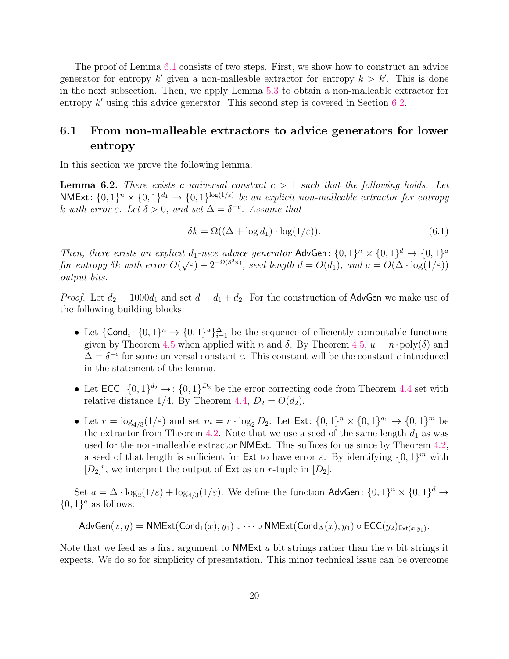The proof of Lemma [6.1](#page-20-1) consists of two steps. First, we show how to construct an advice generator for entropy  $k'$  given a non-malleable extractor for entropy  $k > k'$ . This is done in the next subsection. Then, we apply Lemma [5.3](#page-18-1) to obtain a non-malleable extractor for entropy  $k'$  using this advice generator. This second step is covered in Section [6.2.](#page-23-0)

### <span id="page-21-0"></span>6.1 From non-malleable extractors to advice generators for lower entropy

In this section we prove the following lemma.

<span id="page-21-2"></span>**Lemma 6.2.** There exists a universal constant  $c > 1$  such that the following holds. Let NMExt:  $\{0,1\}^n \times \{0,1\}^{d_1} \rightarrow \{0,1\}^{\log(1/\varepsilon)}$  be an explicit non-malleable extractor for entropy k with error  $\varepsilon$ . Let  $\delta > 0$ , and set  $\Delta = \delta^{-c}$ . Assume that

<span id="page-21-1"></span>
$$
\delta k = \Omega((\Delta + \log d_1) \cdot \log(1/\varepsilon)).\tag{6.1}
$$

Then, there exists an explicit  $d_1$ -nice advice generator AdvGen:  $\{0,1\}^n \times \{0,1\}^d \rightarrow \{0,1\}^a$ for entropy  $\delta k$  with error  $O(\sqrt{\varepsilon}) + 2^{-\Omega(\delta^2 n)}$ , seed length  $d = O(d_1)$ , and  $a = O(\Delta \cdot \log(1/\varepsilon))$ output bits.

*Proof.* Let  $d_2 = 1000d_1$  and set  $d = d_1 + d_2$ . For the construction of AdvGen we make use of the following building blocks:

- Let  $\{\text{Cond}_i: \{0,1\}^n \to \{0,1\}^u\}_{i=1}^{\Delta}$  be the sequence of efficiently computable functions given by Theorem [4.5](#page-15-2) when applied with n and  $\delta$ . By Theorem [4.5,](#page-15-2)  $u = n \cdot \text{poly}(\delta)$  and  $\Delta = \delta^{-c}$  for some universal constant c. This constant will be the constant c introduced in the statement of the lemma.
- Let  $\mathsf{ECC}$ :  $\{0,1\}^{d_2} \to$ :  $\{0,1\}^{D_2}$  be the error correcting code from Theorem [4.4](#page-15-7) set with relative distance 1/4. By Theorem [4.4,](#page-15-7)  $D_2 = O(d_2)$ .
- Let  $r = \log_{4/3}(1/\varepsilon)$  and set  $m = r \cdot \log_2 D_2$ . Let  $\text{Ext} : \{0, 1\}^n \times \{0, 1\}^{d_1} \to \{0, 1\}^m$  be the extractor from Theorem [4.2.](#page-14-3) Note that we use a seed of the same length  $d_1$  as was used for the non-malleable extractor NMExt. This suffices for us since by Theorem [4.2,](#page-14-3) a seed of that length is sufficient for Ext to have error  $\varepsilon$ . By identifying  $\{0,1\}^m$  with  $[D_2]^r$ , we interpret the output of Ext as an r-tuple in  $[D_2]$ .

Set  $a = \Delta \cdot \log_2(1/\varepsilon) + \log_{4/3}(1/\varepsilon)$ . We define the function AdvGen:  $\{0,1\}^n \times \{0,1\}^d \to$  $\{0,1\}^a$  as follows:

$$
\mathsf{AdvGen}(x,y) = \mathsf{NMExt}(\mathsf{Cond}_1(x),y_1)\circ\cdots\circ\mathsf{NMExt}(\mathsf{Cond}_\Delta(x),y_1)\circ\mathsf{ECC}(y_2)_{\mathsf{Ext}(x,y_1)}.
$$

Note that we feed as a first argument to **NMExt**  $u$  bit strings rather than the  $n$  bit strings it expects. We do so for simplicity of presentation. This minor technical issue can be overcome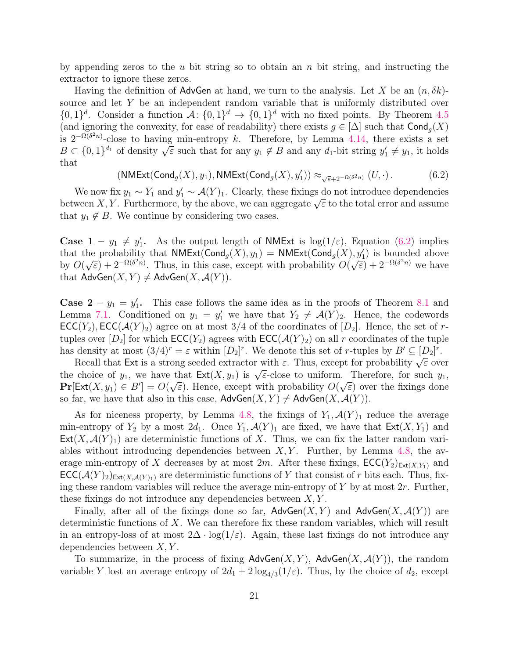by appending zeros to the u bit string so to obtain an n bit string, and instructing the extractor to ignore these zeros.

Having the definition of AdvGen at hand, we turn to the analysis. Let X be an  $(n, \delta k)$ source and let Y be an independent random variable that is uniformly distributed over  $\{0,1\}^d$ . Consider a function  $\mathcal{A}$ :  $\{0,1\}^d \to \{0,1\}^d$  with no fixed points. By Theorem [4.5](#page-15-2) (and ignoring the convexity, for ease of readability) there exists  $g \in [\Delta]$  such that  $\text{Cond}_q(X)$ is  $2^{-\Omega(\delta^2 n)}$ -close to having min-entropy k. Therefore, by Lemma [4.14,](#page-16-1) there exists a set  $B \subset \{0,1\}^{d_1}$  of density  $\sqrt{\varepsilon}$  such that for any  $y_1 \notin B$  and any  $d_1$ -bit string  $y'_1 \neq y_1$ , it holds that

<span id="page-22-0"></span>
$$
(\mathsf{NMExt}(\mathsf{Cond}_g(X), y_1), \mathsf{NMExt}(\mathsf{Cond}_g(X), y_1')) \approx_{\sqrt{\varepsilon}+2^{-\Omega(\delta^2 n)}}(U, \cdot).
$$
 (6.2)

We now fix  $y_1 \sim Y_1$  and  $y'_1 \sim \mathcal{A}(Y)_1$ . Clearly, these fixings do not introduce dependencies we now itx  $y_1 \sim y_1$  and  $y_1 \sim A(Y)$ . Clearly, these itxings do not introduce dependencies<br>between X, Y. Furthermore, by the above, we can aggregate  $\sqrt{\varepsilon}$  to the total error and assume that  $y_1 \notin B$ . We continue by considering two cases.

**Case 1** –  $y_1 \neq y'_1$ . As the output length of **NMExt** is log(1/ $\varepsilon$ ), Equation [\(6.2\)](#page-22-0) implies that the probability that  $NMExt(Cond_g(X), y_1) = NMExt(Cond_g(X), y'_1)$  is bounded above by  $O($ The probability that **NWEXI**(Cond<sub>g</sub>( $\lambda$ ),  $y_1$ ) = **NWEXI**(Cond<sub>g</sub>( $\lambda$ ),  $\sqrt{\varepsilon}$ ) + 2<sup>- $\Omega(\delta^2 n)$ </sup>. Thus, in this case, except with probability O(  $(\sqrt{\varepsilon}) + 2^{-\Omega(\delta^2 n)}$  we have that  $\mathsf{AdvGen}(X, Y) \neq \mathsf{AdvGen}(X, \mathcal{A}(Y)).$ 

**Case 2** –  $y_1 = y'_1$ . This case follows the same idea as in the proofs of Theorem [8.1](#page-26-2) and Lemma [7.1.](#page-24-1) Conditioned on  $y_1 = y'_1$  we have that  $Y_2 \neq \mathcal{A}(Y)_2$ . Hence, the codewords  $\mathsf{ECC}(Y_2), \mathsf{ECC}(\mathcal{A}(Y)_2)$  agree on at most 3/4 of the coordinates of  $[D_2]$ . Hence, the set of rtuples over  $[D_2]$  for which  $\mathsf{ECC}(Y_2)$  agrees with  $\mathsf{ECC}(\mathcal{A}(Y)_2)$  on all r coordinates of the tuple has density at most  $(3/4)^r = \varepsilon$  within  $[D_2]^r$ . We denote this set of r-tuples by  $B' \subseteq [D_2]^r$ .

density at most  $(3/4)$  =  $\varepsilon$  within  $[D_2]$ . We denote this set of *r*-tuples by  $B \subseteq [D_2]$ .<br>Recall that Ext is a strong seeded extractor with  $\varepsilon$ . Thus, except for probability  $\sqrt{\varepsilon}$  over the choice of  $y_1$ , we have that  $\text{Ext}(X, y_1)$  is  $\sqrt{\varepsilon}$ -close to uniform. Therefore, for such  $y_1$ ,  $\Pr[\text{Ext}(X, y_1) \in B'] = O(\sqrt{\varepsilon})$ . Hence, except with probability  $O(\sqrt{\varepsilon})$  over the fixings done so far, we have that also in this case,  $\mathsf{AdvGen}(X, Y) \neq \mathsf{AdvGen}(X, \mathcal{A}(Y))$ .

As for niceness property, by Lemma [4.8,](#page-15-4) the fixings of  $Y_1, \mathcal{A}(Y)_1$  reduce the average min-entropy of  $Y_2$  by a most  $2d_1$ . Once  $Y_1$ ,  $\mathcal{A}(Y)_1$  are fixed, we have that  $\mathsf{Ext}(X, Y_1)$  and  $Ext(X, \mathcal{A}(Y)_1)$  are deterministic functions of X. Thus, we can fix the latter random variables without introducing dependencies between  $X, Y$ . Further, by Lemma [4.8,](#page-15-4) the average min-entropy of X decreases by at most 2m. After these fixings,  $\mathsf{ECC}(Y_2)_{\mathsf{Ext}(X,Y_1)}$  and  $\mathsf{ECC}(\mathcal{A}(Y)_2)_{\mathsf{Ext}(X,\mathcal{A}(Y)_1)}$  are deterministic functions of Y that consist of r bits each. Thus, fixing these random variables will reduce the average min-entropy of Y by at most  $2r$ . Further, these fixings do not introduce any dependencies between  $X, Y$ .

Finally, after all of the fixings done so far,  $\mathsf{AdvGen}(X, Y)$  and  $\mathsf{AdvGen}(X, \mathcal{A}(Y))$  are deterministic functions of  $X$ . We can therefore fix these random variables, which will result in an entropy-loss of at most  $2\Delta \cdot \log(1/\varepsilon)$ . Again, these last fixings do not introduce any dependencies between  $X, Y$ .

To summarize, in the process of fixing  $\mathsf{AdvGen}(X, Y)$ ,  $\mathsf{AdvGen}(X, \mathcal{A}(Y))$ , the random variable Y lost an average entropy of  $2d_1 + 2\log_{4/3}(1/\varepsilon)$ . Thus, by the choice of  $d_2$ , except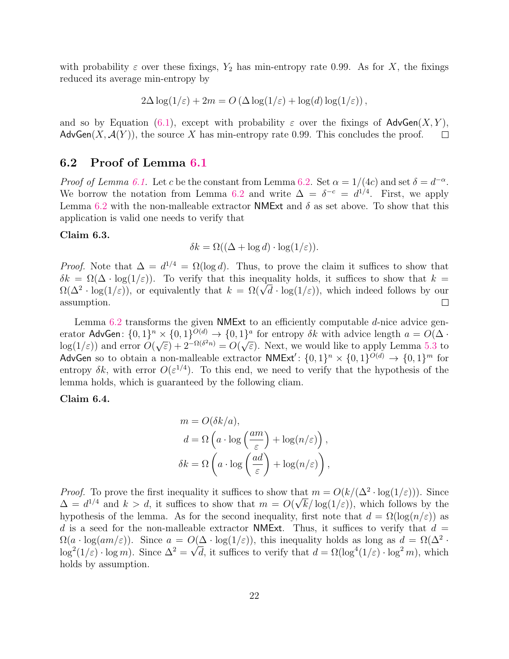with probability  $\varepsilon$  over these fixings,  $Y_2$  has min-entropy rate 0.99. As for X, the fixings reduced its average min-entropy by

$$
2\Delta \log(1/\varepsilon) + 2m = O\left(\Delta \log(1/\varepsilon) + \log(d)\log(1/\varepsilon)\right),
$$

and so by Equation [\(6.1\)](#page-21-1), except with probability  $\varepsilon$  over the fixings of AdvGen $(X, Y)$ , AdvGen $(X, \mathcal{A}(Y))$ , the source X has min-entropy rate 0.99. This concludes the proof.  $\Box$ 

#### <span id="page-23-0"></span>6.2 Proof of Lemma [6.1](#page-20-1)

*Proof of Lemma [6.1.](#page-20-1)* Let c be the constant from Lemma [6.2.](#page-21-2) Set  $\alpha = 1/(4c)$  and set  $\delta = d^{-\alpha}$ . We borrow the notation from Lemma [6.2](#page-21-2) and write  $\Delta = \delta^{-c} = d^{1/4}$ . First, we apply Lemma [6.2](#page-21-2) with the non-malleable extractor NMExt and  $\delta$  as set above. To show that this application is valid one needs to verify that

#### Claim 6.3.

$$
\delta k = \Omega((\Delta + \log d) \cdot \log(1/\varepsilon)).
$$

*Proof.* Note that  $\Delta = d^{1/4} = \Omega(\log d)$ . Thus, to prove the claim it suffices to show that  $\delta k = \Omega(\Delta \cdot \log(1/\varepsilon))$ . To verify that this inequality holds, it suffices to show that  $k =$  $\delta k = \Omega(\Delta \cdot \log(1/\varepsilon))$ . To verify that this inequality holds, it suffices to show that  $k = \Omega(\Delta^2 \cdot \log(1/\varepsilon))$ , or equivalently that  $k = \Omega(\sqrt{d} \cdot \log(1/\varepsilon))$ , which indeed follows by our assumption.  $\Box$ 

Lemma  $6.2$  transforms the given NMExt to an efficiently computable  $d$ -nice advice generator AdvGen:  $\{0,1\}^n \times \{0,1\}^{O(d)} \to \{0,1\}^a$  for entropy  $\delta k$  with advice length  $a = O(\Delta \cdot$  $log(1/\varepsilon)$  and error  $O($  $\sqrt{\varepsilon}$  + 2<sup>- $\Omega(\delta^2 n)$ </sup> =  $O(\sqrt{\varepsilon})$  $\overline{\varepsilon}$ ). Next, we would like to apply Lemma [5.3](#page-18-1) to AdvGen so to obtain a non-malleable extractor  $NMExt'$ :  $\{0, 1\}^n \times \{0, 1\}^{O(d)} \rightarrow \{0, 1\}^m$  for entropy  $\delta k$ , with error  $O(\varepsilon^{1/4})$ . To this end, we need to verify that the hypothesis of the lemma holds, which is guaranteed by the following cliam.

#### Claim 6.4.

$$
m = O(\delta k/a),
$$
  
\n
$$
d = \Omega \left( a \cdot \log \left( \frac{am}{\varepsilon} \right) + \log(n/\varepsilon) \right),
$$
  
\n
$$
\delta k = \Omega \left( a \cdot \log \left( \frac{ad}{\varepsilon} \right) + \log(n/\varepsilon) \right),
$$

*Proof.* To prove the first inequality it suffices to show that  $m = O(k/(\Delta^2 \cdot \log(1/\varepsilon)))$ . Since  $\Delta = d^{1/4}$  and  $k > d$ , it suffices to show that  $m = O(\sqrt{k}/\log(1/\varepsilon))$ , which follows by the hypothesis of the lemma. As for the second inequality, first note that  $d = \Omega(\log(n/\varepsilon))$  as d is a seed for the non-malleable extractor NMExt. Thus, it suffices to verify that  $d =$  $\Omega(a \cdot \log(am/\varepsilon))$ . Since  $a = O(\Delta \cdot \log(1/\varepsilon))$ , this inequality holds as long as  $d = \Omega(\Delta^2 \cdot$  $\log^2(1/\varepsilon) \cdot \log m$ ). Since  $\Delta^2 = \sqrt{d}$ , it suffices to verify that  $d = \Omega(\log^4(1/\varepsilon) \cdot \log^2 m)$ , which holds by assumption.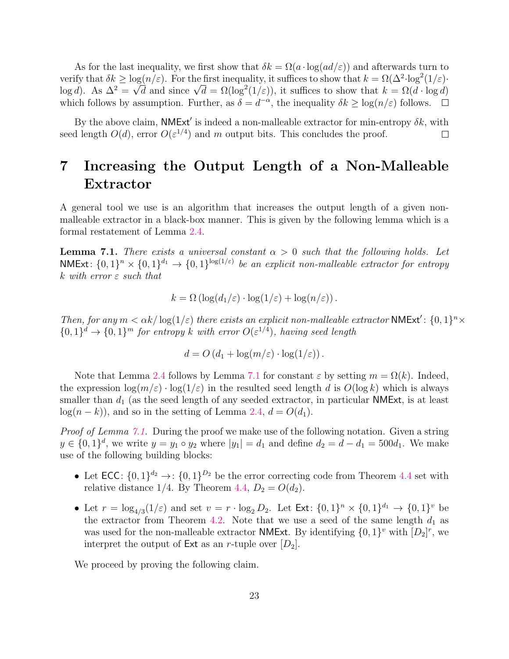As for the last inequality, we first show that  $\delta k = \Omega(a \cdot \log(ad/\varepsilon))$  and afterwards turn to verify that  $\delta k \geq \log(n/\varepsilon)$ . For the first inequality, it suffices to show that  $k = \Omega(\Delta^2 \log^2(1/\varepsilon))$ . verify that  $\delta \kappa \ge \log(n/\varepsilon)$ . For the first inequality, it suffices to show that  $\kappa = \Omega(\Delta^2 \cdot \log^2(1/\varepsilon))$ <br>log d). As  $\Delta^2 = \sqrt{d}$  and since  $\sqrt{d} = \Omega(\log^2(1/\varepsilon))$ , it suffices to show that  $k = \Omega(d \cdot \log d)$ which follows by assumption. Further, as  $\delta = d^{-\alpha}$ , the inequality  $\delta k \geq \log(n/\varepsilon)$  follows.

By the above claim, **NMExt'** is indeed a non-malleable extractor for min-entropy  $\delta k$ , with seed length  $O(d)$ , error  $O(\varepsilon^{1/4})$  and m output bits. This concludes the proof.  $\Box$ 

## <span id="page-24-0"></span>7 Increasing the Output Length of a Non-Malleable Extractor

A general tool we use is an algorithm that increases the output length of a given nonmalleable extractor in a black-box manner. This is given by the following lemma which is a formal restatement of Lemma [2.4.](#page-6-3)

<span id="page-24-1"></span>**Lemma 7.1.** There exists a universal constant  $\alpha > 0$  such that the following holds. Let NMExt:  $\{0,1\}^n \times \{0,1\}^{d_1} \rightarrow \{0,1\}^{\log(1/\varepsilon)}$  be an explicit non-malleable extractor for entropy k with error  $\varepsilon$  such that

$$
k = \Omega\left(\log(d_1/\varepsilon) \cdot \log(1/\varepsilon) + \log(n/\varepsilon)\right).
$$

Then, for any  $m < \alpha k / \log(1/\varepsilon)$  there exists an explicit non-malleable extractor NMExt':  $\{0,1\}^n \times$  ${0,1}^d \rightarrow {0,1}^m$  for entropy k with error  $O(\varepsilon^{1/4})$ , having seed length

$$
d = O\left(d_1 + \log(m/\varepsilon) \cdot \log(1/\varepsilon)\right).
$$

Note that Lemma [2.4](#page-6-3) follows by Lemma [7.1](#page-24-1) for constant  $\varepsilon$  by setting  $m = \Omega(k)$ . Indeed, the expression  $\log(m/\varepsilon) \cdot \log(1/\varepsilon)$  in the resulted seed length d is  $O(\log k)$  which is always smaller than  $d_1$  (as the seed length of any seeded extractor, in particular NMExt, is at least  $log(n - k)$ , and so in the setting of Lemma [2.4,](#page-6-3)  $d = O(d_1)$ .

Proof of Lemma [7.1.](#page-24-1) During the proof we make use of the following notation. Given a string  $y \in \{0, 1\}^d$ , we write  $y = y_1 \circ y_2$  where  $|y_1| = d_1$  and define  $d_2 = d - d_1 = 500d_1$ . We make use of the following building blocks:

- Let  $\mathsf{ECC}$ :  $\{0,1\}^{d_2} \to$ :  $\{0,1\}^{D_2}$  be the error correcting code from Theorem [4.4](#page-15-7) set with relative distance 1/4. By Theorem [4.4,](#page-15-7)  $D_2 = O(d_2)$ .
- Let  $r = \log_{4/3}(1/\varepsilon)$  and set  $v = r \cdot \log_2 D_2$ . Let  $\text{Ext} \colon \{0,1\}^n \times \{0,1\}^{d_1} \to \{0,1\}^v$  be the extractor from Theorem [4.2.](#page-14-3) Note that we use a seed of the same length  $d_1$  as was used for the non-malleable extractor **NMExt**. By identifying  $\{0, 1\}^v$  with  $[D_2]^r$ , we interpret the output of  $Ext$  as an r-tuple over  $[D_2]$ .

We proceed by proving the following claim.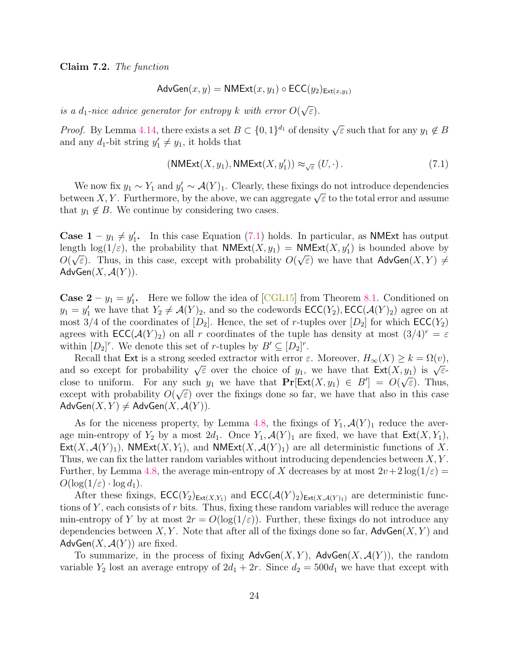Claim 7.2. The function

$$
AdvGen(x, y) = NMExt(x, y_1) \circ ECC(y_2)_{Ext(x, y_1)}
$$

is a  $d_1$ -nice advice generator for entropy  $k$  with error  $O($ √ ε).

*Proof.* By Lemma [4.14,](#page-16-1) there exists a set  $B \subset \{0,1\}^{d_1}$  of density  $\sqrt{\varepsilon}$  such that for any  $y_1 \notin B$ and any  $d_1$ -bit string  $y'_1 \neq y_1$ , it holds that

<span id="page-25-0"></span>
$$
(\text{NMExt}(X, y_1), \text{NMExt}(X, y'_1)) \approx_{\sqrt{\varepsilon}} (U, \cdot). \tag{7.1}
$$

We now fix  $y_1 \sim Y_1$  and  $y_1' \sim \mathcal{A}(Y)_1$ . Clearly, these fixings do not introduce dependencies we now itx  $y_1 \sim T_1$  and  $y_1 \sim A(T)$ . Clearly, these itxings do not introduce dependencies<br>between X, Y. Furthermore, by the above, we can aggregate  $\sqrt{\varepsilon}$  to the total error and assume that  $y_1 \notin B$ . We continue by considering two cases.

**Case 1** –  $y_1 \neq y_1'$ . In this case Equation [\(7.1\)](#page-25-0) holds. In particular, as **NMExt** has output length  $\log(1/\varepsilon)$ , the probability that  $NMExt(X, y_1) = NMExt(X, y'_1)$  is bounded above by  $O(\sqrt{\varepsilon})$ . Thus, in this case, except with probability  $O(\sqrt{\varepsilon})$  we have that  $\mathsf{AdvGen}(X, Y) \neq \emptyset$  $AdvGen(X, \mathcal{A}(Y)).$ 

**Case 2** –  $y_1 = y'_1$ . Here we follow the idea of [\[CGL15\]](#page-35-0) from Theorem [8.1.](#page-26-2) Conditioned on  $y_1 = y_1'$  we have that  $Y_2 \neq \mathcal{A}(Y)_2$ , and so the codewords  $\mathsf{ECC}(Y_2)$ ,  $\mathsf{ECC}(\mathcal{A}(Y)_2)$  agree on at most 3/4 of the coordinates of  $[D_2]$ . Hence, the set of r-tuples over  $[D_2]$  for which  $\mathsf{ECC}(Y_2)$ agrees with  $\mathsf{ECC}(\mathcal{A}(Y)_2)$  on all r coordinates of the tuple has density at most  $(3/4)^r = \varepsilon$ within  $[D_2]^r$ . We denote this set of r-tuples by  $B' \subseteq [D_2]^r$ .

Recall that Ext is a strong seeded extractor with error  $\varepsilon$ . Moreover,  $H_{\infty}(X) \geq k = \Omega(v)$ , The can that Ext is a strong seeded extractor with error  $\varepsilon$ . Moreover,  $H_{\infty}(X) \leq \kappa - \Omega(V)$ ,<br>and so except for probability  $\sqrt{\varepsilon}$  over the choice of  $y_1$ , we have that  $\text{Ext}(X, y_1)$  is  $\sqrt{\varepsilon}$ close to uniform. For any such  $y_1$  we have that  $\Pr[\text{Ext}(X, y_1) \in B'] = O(\sqrt{\varepsilon})$ . Thus, except with probability  $O(\sqrt{\varepsilon})$  over the fixings done so far, we have that also in this case  $AdvGen(X, Y) \neq AdvGen(X, \mathcal{A}(Y)).$ 

As for the niceness property, by Lemma [4.8,](#page-15-4) the fixings of  $Y_1, \mathcal{A}(Y)_1$  reduce the average min-entropy of  $Y_2$  by a most  $2d_1$ . Once  $Y_1$ ,  $\mathcal{A}(Y)_1$  are fixed, we have that  $\mathsf{Ext}(X, Y_1)$ ,  $Ext(X, \mathcal{A}(Y)_1)$ , NMExt $(X, Y_1)$ , and NMExt $(X, \mathcal{A}(Y)_1)$  are all deterministic functions of X. Thus, we can fix the latter random variables without introducing dependencies between  $X, Y$ . Further, by Lemma [4.8,](#page-15-4) the average min-entropy of X decreases by at most  $2v+2\log(1/\varepsilon) =$  $O(\log(1/\varepsilon) \cdot \log d_1).$ 

After these fixings,  $\mathsf{ECC}(Y_2)_{\mathsf{Ext}(X,Y_1)}$  and  $\mathsf{ECC}(\mathcal{A}(Y)_2)_{\mathsf{Ext}(X,\mathcal{A}(Y)_1)}$  are deterministic functions of  $Y$ , each consists of  $r$  bits. Thus, fixing these random variables will reduce the average min-entropy of Y by at most  $2r = O(\log(1/\varepsilon))$ . Further, these fixings do not introduce any dependencies between  $X, Y$ . Note that after all of the fixings done so far,  $\mathsf{AdvGen}(X, Y)$  and AdvGen $(X, \mathcal{A}(Y))$  are fixed.

To summarize, in the process of fixing  $\mathsf{AdvGen}(X, Y)$ ,  $\mathsf{AdvGen}(X, \mathcal{A}(Y))$ , the random variable  $Y_2$  lost an average entropy of  $2d_1 + 2r$ . Since  $d_2 = 500d_1$  we have that except with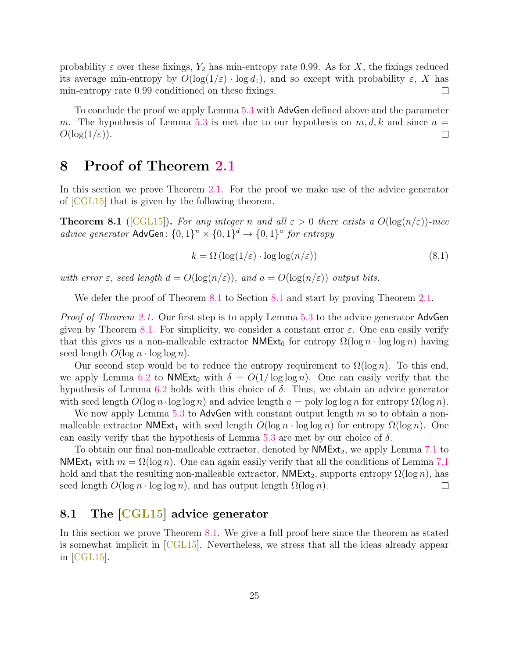probability  $\varepsilon$  over these fixings,  $Y_2$  has min-entropy rate 0.99. As for X, the fixings reduced its average min-entropy by  $O(\log(1/\varepsilon) \cdot \log d_1)$ , and so except with probability  $\varepsilon$ , X has min-entropy rate 0.99 conditioned on these fixings.  $\Box$ 

To conclude the proof we apply Lemma [5.3](#page-18-1) with AdvGen defined above and the parameter m. The hypothesis of Lemma [5.3](#page-18-1) is met due to our hypothesis on  $m, d, k$  and since  $a =$  $O(\log(1/\varepsilon)).$  $\Box$ 

### <span id="page-26-0"></span>8 Proof of Theorem [2.1](#page-5-3)

In this section we prove Theorem [2.1.](#page-5-3) For the proof we make use of the advice generator of [\[CGL15\]](#page-35-0) that is given by the following theorem.

<span id="page-26-2"></span>**Theorem 8.1** ([\[CGL15\]](#page-35-0)). For any integer n and all  $\varepsilon > 0$  there exists a  $O(\log(n/\varepsilon))$ -nice advice generator AdvGen:  $\{0,1\}^n \times \{0,1\}^d \rightarrow \{0,1\}^a$  for entropy

<span id="page-26-3"></span>
$$
k = \Omega\left(\log(1/\varepsilon) \cdot \log\log(n/\varepsilon)\right) \tag{8.1}
$$

with error  $\varepsilon$ , seed length  $d = O(\log(n/\varepsilon))$ , and  $a = O(\log(n/\varepsilon))$  output bits.

We defer the proof of Theorem [8.1](#page-26-1) to Section 8.1 and start by proving Theorem [2.1.](#page-5-3)

*Proof of Theorem [2.1.](#page-5-3)* Our first step is to apply Lemma [5.3](#page-18-1) to the advice generator AdvGen given by Theorem [8.1.](#page-26-2) For simplicity, we consider a constant error  $\varepsilon$ . One can easily verify that this gives us a non-malleable extractor  $NMExt_0$  for entropy  $\Omega(\log n \cdot \log \log n)$  having seed length  $O(\log n \cdot \log \log n)$ .

Our second step would be to reduce the entropy requirement to  $\Omega(\log n)$ . To this end, we apply Lemma [6.2](#page-21-2) to NMExt<sub>0</sub> with  $\delta = O(1/\log \log n)$ . One can easily verify that the hypothesis of Lemma [6.2](#page-21-2) holds with this choice of  $\delta$ . Thus, we obtain an advice generator with seed length  $O(\log n \cdot \log \log n)$  and advice length  $a = \text{poly}\log \log n$  for entropy  $\Omega(\log n)$ .

We now apply Lemma [5.3](#page-18-1) to AdvGen with constant output length  $m$  so to obtain a nonmalleable extractor  $NMExt_1$  with seed length  $O(log n \cdot log log n)$  for entropy  $\Omega(log n)$ . One can easily verify that the hypothesis of Lemma [5.3](#page-18-1) are met by our choice of  $\delta$ .

To obtain our final non-malleable extractor, denoted by  $NMExt_2$ , we apply Lemma [7.1](#page-24-1) to NMExt<sub>1</sub> with  $m = \Omega(\log n)$ . One can again easily verify that all the conditions of Lemma [7.1](#page-24-1) hold and that the resulting non-malleable extractor,  $NMExt_2$ , supports entropy  $\Omega(\log n)$ , has seed length  $O(\log n \cdot \log \log n)$ , and has output length  $\Omega(\log n)$ .  $\Box$ 

### <span id="page-26-1"></span>8.1 The [\[CGL15\]](#page-35-0) advice generator

In this section we prove Theorem [8.1.](#page-26-2) We give a full proof here since the theorem as stated is somewhat implicit in [\[CGL15\]](#page-35-0). Nevertheless, we stress that all the ideas already appear in [\[CGL15\]](#page-35-0).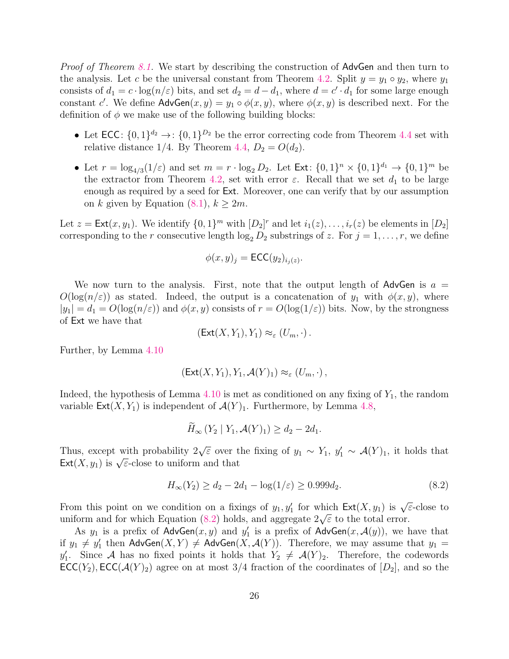*Proof of Theorem [8.1.](#page-26-2)* We start by describing the construction of AdvGen and then turn to the analysis. Let c be the universal constant from Theorem [4.2.](#page-14-3) Split  $y = y_1 \circ y_2$ , where  $y_1$ consists of  $d_1 = c \cdot \log(n/\varepsilon)$  bits, and set  $d_2 = d - d_1$ , where  $d = c' \cdot d_1$  for some large enough constant c'. We define  $\mathsf{AdvGen}(x, y) = y_1 \circ \phi(x, y)$ , where  $\phi(x, y)$  is described next. For the definition of  $\phi$  we make use of the following building blocks:

- Let  $\mathsf{ECC}$ :  $\{0,1\}^{d_2} \to$ :  $\{0,1\}^{D_2}$  be the error correcting code from Theorem [4.4](#page-15-7) set with relative distance 1/4. By Theorem [4.4,](#page-15-7)  $D_2 = O(d_2)$ .
- Let  $r = \log_{4/3}(1/\varepsilon)$  and set  $m = r \cdot \log_2 D_2$ . Let  $\text{Ext} : \{0, 1\}^n \times \{0, 1\}^{d_1} \to \{0, 1\}^m$  be the extractor from Theorem [4.2,](#page-14-3) set with error  $\varepsilon$ . Recall that we set  $d_1$  to be large enough as required by a seed for Ext. Moreover, one can verify that by our assumption on k given by Equation  $(8.1)$ ,  $k \geq 2m$ .

Let  $z = \text{Ext}(x, y_1)$ . We identify  $\{0, 1\}^m$  with  $[D_2]^r$  and let  $i_1(z), \ldots, i_r(z)$  be elements in  $[D_2]$ corresponding to the r consecutive length  $\log_2 D_2$  substrings of z. For  $j = 1, \ldots, r$ , we define

$$
\phi(x, y)_j = \mathsf{ECC}(y_2)_{i_j(z)}.
$$

We now turn to the analysis. First, note that the output length of AdvGen is  $a =$  $O(\log(n/\varepsilon))$  as stated. Indeed, the output is a concatenation of  $y_1$  with  $\phi(x, y)$ , where  $|y_1| = d_1 = O(\log(n/\varepsilon))$  and  $\phi(x, y)$  consists of  $r = O(\log(1/\varepsilon))$  bits. Now, by the strongness of Ext we have that

$$
(\mathsf{Ext}(X,Y_1),Y_1)\approx_{\varepsilon} (U_m,\cdot).
$$

Further, by Lemma [4.10](#page-15-6)

$$
(\mathsf{Ext}(X,Y_1),Y_1,\mathcal{A}(Y)_1)\approx_{\varepsilon} (U_m,\cdot)\,,
$$

Indeed, the hypothesis of Lemma  $4.10$  is met as conditioned on any fixing of  $Y_1$ , the random variable  $\textsf{Ext}(X, Y_1)$  is independent of  $\mathcal{A}(Y)_1$ . Furthermore, by Lemma [4.8,](#page-15-4)

$$
\widetilde{H}_{\infty}(Y_2 \mid Y_1, \mathcal{A}(Y)_1) \geq d_2 - 2d_1.
$$

Thus, except with probability  $2\sqrt{\varepsilon}$  over the fixing of  $y_1 \sim Y_1$ ,  $y'_1 \sim \mathcal{A}(Y)_1$ , it holds that Ext(X,  $y_1$ ) is  $\sqrt{\varepsilon}$ -close to uniform and that

<span id="page-27-0"></span>
$$
H_{\infty}(Y_2) \ge d_2 - 2d_1 - \log(1/\varepsilon) \ge 0.999d_2. \tag{8.2}
$$

From this point on we condition on a fixings of  $y_1, y_1'$  for which  $\textsf{Ext}(X, y_1)$  is  $\sqrt{\varepsilon}$ -close to From this point on we condition on a fixings of  $y_1, y_1$  for which  $\text{Ext}(X, y_1)$  is  $\sqrt{x}$  uniform and for which Equation [\(8.2\)](#page-27-0) holds, and aggregate  $2\sqrt{\varepsilon}$  to the total error.

As  $y_1$  is a prefix of AdvGen $(x, y)$  and  $y'_1$  is a prefix of AdvGen $(x, \mathcal{A}(y))$ , we have that if  $y_1 \neq y_1'$  then AdvGen $(X, Y) \neq$  AdvGen $(X, \mathcal{A}(Y))$ . Therefore, we may assume that  $y_1 =$  $y'_1$ . Since A has no fixed points it holds that  $Y_2 \neq \mathcal{A}(Y)_2$ . Therefore, the codewords  $\mathsf{ECC}(Y_2)$ ,  $\mathsf{ECC}(\mathcal{A}(Y)_2)$  agree on at most 3/4 fraction of the coordinates of  $[D_2]$ , and so the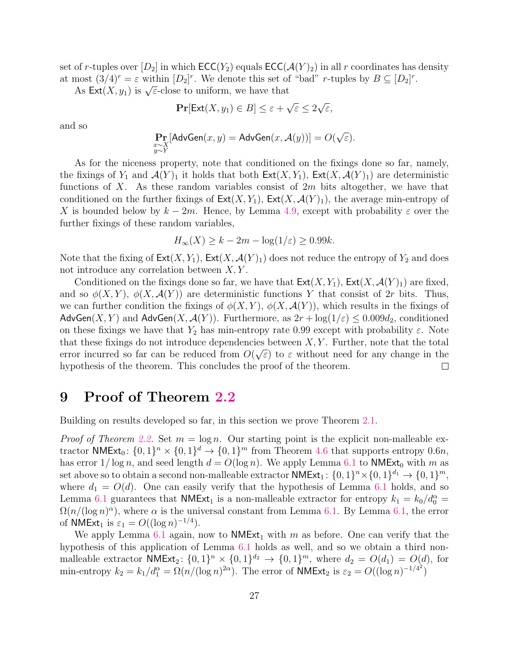set of r-tuples over  $[D_2]$  in which  $\mathsf{ECC}(Y_2)$  equals  $\mathsf{ECC}(\mathcal{A}(Y)_2)$  in all r coordinates has density at most  $(3/4)^r = \varepsilon$  within  $[D_2]^r$ . We denote this set of "bad" *r*-tuples by  $B \subseteq [D_2]^r$ .

 $\text{dist}(\mathcal{S}/4) = \varepsilon$  within  $[\mathcal{D}_2]$ . We denote this set of<br>As  $\text{Ext}(X, y_1)$  is  $\sqrt{\varepsilon}$ -close to uniform, we have that

$$
\Pr[\text{Ext}(X, y_1) \in B] \le \varepsilon + \sqrt{\varepsilon} \le 2\sqrt{\varepsilon},
$$

and so

$$
\Pr_{\substack{x \sim X \\ y \sim Y}}[\mathsf{AdvGen}(x, y) = \mathsf{AdvGen}(x, \mathcal{A}(y))] = O(\sqrt{\varepsilon}).
$$

As for the niceness property, note that conditioned on the fixings done so far, namely, the fixings of  $Y_1$  and  $\mathcal{A}(Y)_1$  it holds that both  $\mathsf{Ext}(X, Y_1)$ ,  $\mathsf{Ext}(X, \mathcal{A}(Y)_1)$  are deterministic functions of X. As these random variables consist of  $2m$  bits altogether, we have that conditioned on the further fixings of  $\text{Ext}(X, Y_1)$ ,  $\text{Ext}(X, \mathcal{A}(Y)_1)$ , the average min-entropy of X is bounded below by  $k - 2m$ . Hence, by Lemma [4.9,](#page-15-5) except with probability  $\varepsilon$  over the further fixings of these random variables,

$$
H_{\infty}(X) \ge k - 2m - \log(1/\varepsilon) \ge 0.99k.
$$

Note that the fixing of  $\textsf{Ext}(X, Y_1)$ ,  $\textsf{Ext}(X, \mathcal{A}(Y)_1)$  does not reduce the entropy of  $Y_2$  and does not introduce any correlation between  $X, Y$ .

Conditioned on the fixings done so far, we have that  $\textsf{Ext}(X, Y_1)$ ,  $\textsf{Ext}(X, \mathcal{A}(Y)_1)$  are fixed, and so  $\phi(X, Y)$ ,  $\phi(X, \mathcal{A}(Y))$  are deterministic functions Y that consist of 2r bits. Thus, we can further condition the fixings of  $\phi(X, Y)$ ,  $\phi(X, \mathcal{A}(Y))$ , which results in the fixings of AdvGen(X, Y) and AdvGen(X,  $\mathcal{A}(Y)$ ). Furthermore, as  $2r + \log(1/\varepsilon) \leq 0.009d_2$ , conditioned on these fixings we have that  $Y_2$  has min-entropy rate 0.99 except with probability  $\varepsilon$ . Note that these fixings do not introduce dependencies between  $X, Y$ . Further, note that the total error incurred so far can be reduced from  $O(\sqrt{\varepsilon})$  to  $\varepsilon$  without need for any change in the hypothesis of the theorem. This concludes the proof of the theorem.  $\Box$ 

### <span id="page-28-0"></span>9 Proof of Theorem [2.2](#page-5-4)

Building on results developed so far, in this section we prove Theorem [2.1.](#page-5-3)

*Proof of Theorem [2.2.](#page-5-4)* Set  $m = \log n$ . Our starting point is the explicit non-malleable extractor NMExt<sub>0</sub>:  $\{0,1\}^n \times \{0,1\}^d \rightarrow \{0,1\}^m$  from Theorem [4.6](#page-15-3) that supports entropy 0.6n, has error  $1/\log n$ , and seed length  $d = O(\log n)$ . We apply Lemma [6.1](#page-20-1) to NMExt<sub>0</sub> with m as set above so to obtain a second non-malleable extractor  $\mathsf{NMExt}_1$ :  $\{0,1\}^n \times \{0,1\}^{d_1} \to \{0,1\}^m$ , where  $d_1 = O(d)$ . One can easily verify that the hypothesis of Lemma [6.1](#page-20-1) holds, and so Lemma [6.1](#page-20-1) guarantees that **NMExt**<sub>1</sub> is a non-malleable extractor for entropy  $k_1 = k_0/d_0^{\alpha}$  $\Omega(n/(\log n)^{\alpha})$ , where  $\alpha$  is the universal constant from Lemma [6.1.](#page-20-1) By Lemma [6.1,](#page-20-1) the error of **NMExt**<sub>1</sub> is  $\varepsilon_1 = O((\log n)^{-1/4})$ .

We apply Lemma [6.1](#page-20-1) again, now to  $NMExt_1$  with m as before. One can verify that the hypothesis of this application of Lemma [6.1](#page-20-1) holds as well, and so we obtain a third nonmalleable extractor  $\mathsf{NMExt}_2$ :  $\{0,1\}^n \times \{0,1\}^{d_2} \to \{0,1\}^m$ , where  $d_2 = O(d_1) = O(d)$ , for min-entropy  $k_2 = k_1/d_1^{\alpha} = \Omega(n/(\log n)^{2\alpha})$ . The error of NMExt<sub>2</sub> is  $\varepsilon_2 = O((\log n)^{-1/4^2})$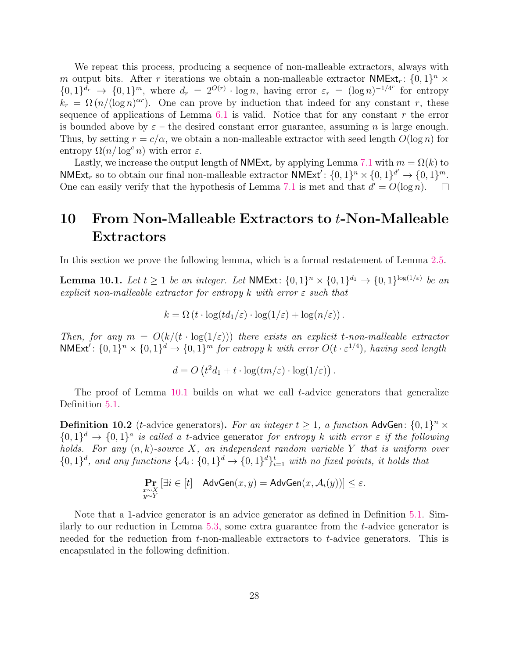We repeat this process, producing a sequence of non-malleable extractors, always with m output bits. After r iterations we obtain a non-malleable extractor  $NMExt_r: \{0,1\}^n \times$  $\{0,1\}^{d_r} \to \{0,1\}^m$ , where  $d_r = 2^{O(r)} \cdot \log n$ , having error  $\varepsilon_r = (\log n)^{-1/4^r}$  for entropy  $k_r = \Omega(n/(\log n)^{\alpha r})$ . One can prove by induction that indeed for any constant r, these sequence of applications of Lemma  $6.1$  is valid. Notice that for any constant r the error is bounded above by  $\varepsilon$  – the desired constant error guarantee, assuming n is large enough. Thus, by setting  $r = c/\alpha$ , we obtain a non-malleable extractor with seed length  $O(\log n)$  for entropy  $\Omega(n/\log^c n)$  with error  $\varepsilon$ .

Lastly, we increase the output length of **NMExt**, by applying Lemma [7.1](#page-24-1) with  $m = \Omega(k)$  to  $\mathsf{NMExt}_r$  so to obtain our final non-malleable extractor  $\mathsf{NMExt}'$ :  $\{0,1\}^n \times \{0,1\}^{d'} \to \{0,1\}^m$ . One can easily verify that the hypothesis of Lemma [7.1](#page-24-1) is met and that  $d' = O(\log n)$ .

## <span id="page-29-0"></span>10 From Non-Malleable Extractors to t-Non-Malleable Extractors

In this section we prove the following lemma, which is a formal restatement of Lemma [2.5.](#page-7-2)

<span id="page-29-1"></span>**Lemma 10.1.** Let  $t \geq 1$  be an integer. Let NMExt:  $\{0,1\}^n \times \{0,1\}^{d_1} \rightarrow \{0,1\}^{\log(1/\varepsilon)}$  be an explicit non-malleable extractor for entropy k with error  $\varepsilon$  such that

$$
k = \Omega(t \cdot \log(t d_1/\varepsilon) \cdot \log(1/\varepsilon) + \log(n/\varepsilon)).
$$

Then, for any  $m = O(k/(t \cdot \log(1/\varepsilon)))$  there exists an explicit t-non-malleable extractor  $NMExt' : \{0, 1\}^n \times \{0, 1\}^d \rightarrow \{0, 1\}^m$  for entropy k with error  $O(t \cdot \varepsilon^{1/4})$ , having seed length

$$
d = O\left(t^2 d_1 + t \cdot \log(t m/\varepsilon) \cdot \log(1/\varepsilon)\right).
$$

The proof of Lemma [10.1](#page-29-1) builds on what we call t-advice generators that generalize Definition [5.1.](#page-18-0)

**Definition 10.2** (*t*-advice generators). For an integer  $t \geq 1$ , a function AdvGen:  $\{0,1\}^n \times$  $\{0,1\}^d \to \{0,1\}^a$  is called a t-advice generator for entropy k with error  $\varepsilon$  if the following holds. For any  $(n, k)$ -source X, an independent random variable Y that is uniform over  $\{0,1\}^d$ , and any functions  $\{\mathcal{A}_i: \{0,1\}^d \to \{0,1\}^d\}_{i=1}^t$  with no fixed points, it holds that

$$
\Pr_{\substack{x \sim X \\ y \sim Y}} \left[ \exists i \in [t] \quad \textsf{AdvGen}(x, y) = \textsf{AdvGen}(x, \mathcal{A}_i(y)) \right] \le \varepsilon.
$$

Note that a 1-advice generator is an advice generator as defined in Definition [5.1.](#page-18-0) Similarly to our reduction in Lemma [5.3,](#page-18-1) some extra guarantee from the t-advice generator is needed for the reduction from  $t$ -non-malleable extractors to  $t$ -advice generators. This is encapsulated in the following definition.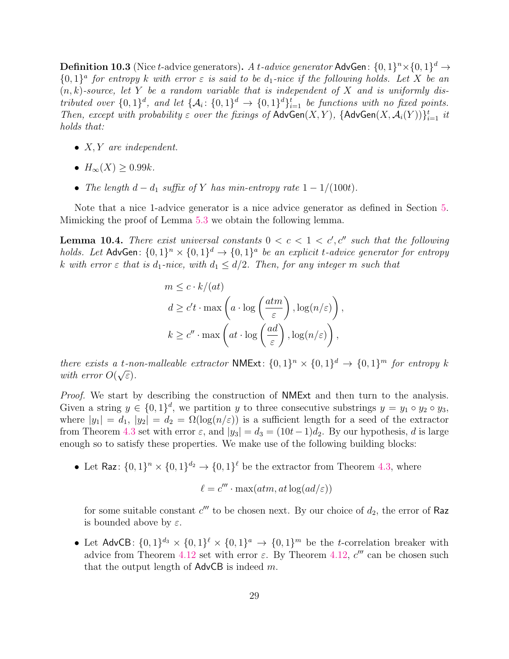**Definition 10.3** (Nice t-advice generators). A t-advice generator AdvGen:  $\{0,1\}^n \times \{0,1\}^d \rightarrow$  ${0,1}^a$  for entropy k with error  $\varepsilon$  is said to be  $d_1$ -nice if the following holds. Let X be an  $(n, k)$ -source, let Y be a random variable that is independent of X and is uniformly distributed over  $\{0,1\}^d$ , and let  $\{\mathcal{A}_i: \{0,1\}^d \to \{0,1\}^d\}_{i=1}^t$  be functions with no fixed points. Then, except with probability  $\varepsilon$  over the fixings of  $\mathsf{AdvGen}(X, Y)$ ,  $\{\mathsf{AdvGen}(X, \mathcal{A}_i(Y))\}_{i=1}^t$  it holds that:

- $X, Y$  are independent.
- $H_{\infty}(X) > 0.99k$ .
- The length  $d d_1$  suffix of Y has min-entropy rate  $1 1/(100t)$ .

Note that a nice 1-advice generator is a nice advice generator as defined in Section [5.](#page-17-0) Mimicking the proof of Lemma [5.3](#page-18-1) we obtain the following lemma.

<span id="page-30-0"></span>**Lemma 10.4.** There exist universal constants  $0 < c < 1 < c', c''$  such that the following holds. Let AdvGen:  $\{0,1\}^n \times \{0,1\}^d \rightarrow \{0,1\}^a$  be an explicit t-advice generator for entropy k with error  $\varepsilon$  that is d<sub>1</sub>-nice, with  $d_1 \leq d/2$ . Then, for any integer m such that

$$
m \leq c \cdot k/(at)
$$
  
\n
$$
d \geq c't \cdot \max\left(a \cdot \log\left(\frac{atm}{\varepsilon}\right), \log(n/\varepsilon)\right),
$$
  
\n
$$
k \geq c'' \cdot \max\left(at \cdot \log\left(\frac{ad}{\varepsilon}\right), \log(n/\varepsilon)\right),
$$

there exists a t-non-malleable extractor NMExt:  $\{0,1\}^n \times \{0,1\}^d \rightarrow \{0,1\}^m$  for entropy k with error  $O(\sqrt{\varepsilon}).$ 

*Proof.* We start by describing the construction of **NME**xt and then turn to the analysis. Given a string  $y \in \{0,1\}^d$ , we partition y to three consecutive substrings  $y = y_1 \circ y_2 \circ y_3$ , where  $|y_1| = d_1$ ,  $|y_2| = d_2 = \Omega(\log(n/\varepsilon))$  is a sufficient length for a seed of the extractor from Theorem [4.3](#page-14-2) set with error  $\varepsilon$ , and  $|y_3| = d_3 = (10t-1)d_2$ . By our hypothesis, d is large enough so to satisfy these properties. We make use of the following building blocks:

• Let Raz:  $\{0,1\}^n \times \{0,1\}^d \to \{0,1\}^{\ell}$  be the extractor from Theorem [4.3,](#page-14-2) where

$$
\ell = c'''\cdot \max(atm,at\log(ad/\varepsilon))
$$

for some suitable constant  $c'''$  to be chosen next. By our choice of  $d_2$ , the error of Raz is bounded above by  $\varepsilon$ .

• Let AdvCB:  $\{0,1\}^{d_3} \times \{0,1\}^{\ell} \times \{0,1\}^a \rightarrow \{0,1\}^m$  be the *t*-correlation breaker with advice from Theorem [4.12](#page-16-3) set with error  $\varepsilon$ . By Theorem [4.12,](#page-16-3)  $c'''$  can be chosen such that the output length of  $\mathsf{AdvCB}$  is indeed m.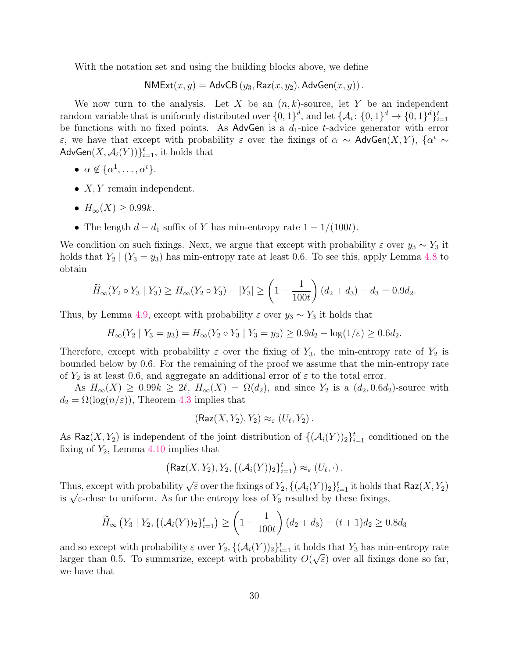With the notation set and using the building blocks above, we define

$$
\mathsf{NMExt}(x,y) = \mathsf{AdvCB}\left(y_3, \mathsf{Raz}(x,y_2), \mathsf{AdvGen}(x,y)\right).
$$

We now turn to the analysis. Let X be an  $(n, k)$ -source, let Y be an independent random variable that is uniformly distributed over  $\{0,1\}^d$ , and let  $\{\mathcal{A}_i: \{0,1\}^d \to \{0,1\}^d\}_{i=1}^t$ be functions with no fixed points. As AdvGen is a  $d_1$ -nice t-advice generator with error ε, we have that except with probability ε over the fixings of  $\alpha \sim \text{AdvGen}(X, Y)$ ,  $\{\alpha^i \sim \alpha\}$  $\mathsf{AdvGen}(X, \mathcal{A}_i(Y))\}_{i=1}^t$ , it holds that

- $\alpha \notin {\{\alpha^{1}, \ldots, \alpha^{t}\}}$ .
- $X, Y$  remain independent.
- $H_{\infty}(X) > 0.99k$ .
- The length  $d d_1$  suffix of Y has min-entropy rate  $1 1/(100t)$ .

We condition on such fixings. Next, we argue that except with probability  $\varepsilon$  over  $y_3 \sim Y_3$  it holds that  $Y_2 | (Y_3 = y_3)$  has min-entropy rate at least 0.6. To see this, apply Lemma [4.8](#page-15-4) to obtain

$$
\widetilde{H}_{\infty}(Y_2 \circ Y_3 \mid Y_3) \ge H_{\infty}(Y_2 \circ Y_3) - |Y_3| \ge \left(1 - \frac{1}{100t}\right)(d_2 + d_3) - d_3 = 0.9d_2.
$$

Thus, by Lemma [4.9,](#page-15-5) except with probability  $\varepsilon$  over  $y_3 \sim Y_3$  it holds that

$$
H_{\infty}(Y_2 \mid Y_3 = y_3) = H_{\infty}(Y_2 \circ Y_3 \mid Y_3 = y_3) \ge 0.9d_2 - \log(1/\varepsilon) \ge 0.6d_2.
$$

Therefore, except with probability  $\varepsilon$  over the fixing of  $Y_3$ , the min-entropy rate of  $Y_2$  is bounded below by 0.6. For the remaining of the proof we assume that the min-entropy rate of  $Y_2$  is at least 0.6, and aggregate an additional error of  $\varepsilon$  to the total error.

As  $H_{\infty}(X) \geq 0.99k \geq 2\ell$ ,  $H_{\infty}(X) = \Omega(d_2)$ , and since  $Y_2$  is a  $(d_2, 0.6d_2)$ -source with  $d_2 = \Omega(\log(n/\varepsilon))$ , Theorem [4.3](#page-14-2) implies that

$$
(\mathsf{Raz}(X,Y_2),Y_2)\approx_{\varepsilon} (U_{\ell},Y_2).
$$

As  $\textsf{Raz}(X, Y_2)$  is independent of the joint distribution of  $\{(\mathcal{A}_i(Y))_2\}_{i=1}^t$  conditioned on the fixing of  $Y_2$ , Lemma [4.10](#page-15-6) implies that

$$
(\mathsf{Raz}(X,Y_2),Y_2,\{(\mathcal{A}_i(Y))_2\}_{i=1}^t) \approx_{\varepsilon} (U_{\ell},\cdot).
$$

Thus, except with probability  $\sqrt{\varepsilon}$  over the fixings of  $Y_2$ ,  $\{(\mathcal{A}_i(Y))_2\}_{i=1}^t$  it holds that  $\textsf{Raz}(X, Y_2)$ is  $\sqrt{\varepsilon}$ -close to uniform. As for the entropy loss of  $Y_3$  resulted by these fixings,

$$
\widetilde{H}_{\infty}\left(Y_3 \mid Y_2, \{(\mathcal{A}_i(Y))_2\}_{i=1}^t\right) \ge \left(1 - \frac{1}{100t}\right)(d_2 + d_3) - (t+1)d_2 \ge 0.8d_3
$$

and so except with probability  $\varepsilon$  over  $Y_2$ ,  $\{(\mathcal{A}_i(Y))_2\}_{i=1}^t$  it holds that  $Y_3$  has min-entropy rate larger than 0.5. To summarize, except with probability  $O(\sqrt{\varepsilon})$  over all fixings done so far, we have that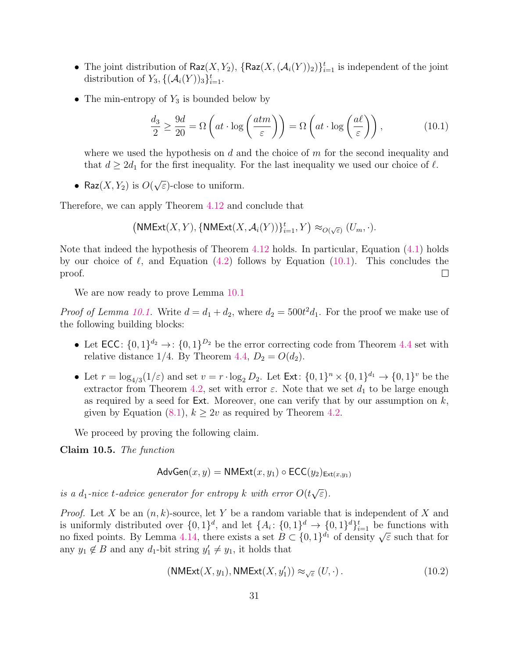- The joint distribution of  $\textsf{Raz}(X, Y_2)$ ,  $\{\textsf{Raz}(X, (\mathcal{A}_i(Y))_2)\}_{i=1}^t$  is independent of the joint distribution of  $Y_3, \{(\mathcal{A}_i(Y))_3\}_{i=1}^t$ .
- The min-entropy of  $Y_3$  is bounded below by

<span id="page-32-0"></span>
$$
\frac{d_3}{2} \ge \frac{9d}{20} = \Omega \left( at \cdot \log \left( \frac{atm}{\varepsilon} \right) \right) = \Omega \left( at \cdot \log \left( \frac{at}{\varepsilon} \right) \right),\tag{10.1}
$$

where we used the hypothesis on  $d$  and the choice of  $m$  for the second inequality and that  $d \geq 2d_1$  for the first inequality. For the last inequality we used our choice of  $\ell$ .

• Raz $(X, Y_2)$  is  $O(Y)$ √  $\overline{\varepsilon}$ )-close to uniform.

Therefore, we can apply Theorem [4.12](#page-16-3) and conclude that

$$
\left(\mathsf{NMExt}(X,Y), \{\mathsf{NMExt}(X,\mathcal{A}_i(Y))\}_{i=1}^t, Y\right) \approx_{O(\sqrt{\varepsilon})} (U_m, \cdot).
$$

Note that indeed the hypothesis of Theorem [4.12](#page-16-3) holds. In particular, Equation [\(4.1\)](#page-16-4) holds by our choice of  $\ell$ , and Equation [\(4.2\)](#page-16-5) follows by Equation [\(10.1\)](#page-32-0). This concludes the proof.  $\Box$ 

We are now ready to prove Lemma [10.1](#page-29-1)

*Proof of Lemma [10.1.](#page-29-1)* Write  $d = d_1 + d_2$ , where  $d_2 = 500t^2 d_1$ . For the proof we make use of the following building blocks:

- Let  $\mathsf{ECC}$ :  $\{0,1\}^{d_2} \to$ :  $\{0,1\}^{D_2}$  be the error correcting code from Theorem [4.4](#page-15-7) set with relative distance 1/4. By Theorem [4.4,](#page-15-7)  $D_2 = O(d_2)$ .
- Let  $r = \log_{4/3}(1/\varepsilon)$  and set  $v = r \cdot \log_2 D_2$ . Let  $\text{Ext} \colon \{0, 1\}^n \times \{0, 1\}^{d_1} \to \{0, 1\}^v$  be the extractor from Theorem [4.2,](#page-14-3) set with error  $\varepsilon$ . Note that we set  $d_1$  to be large enough as required by a seed for Ext. Moreover, one can verify that by our assumption on  $k$ , given by Equation  $(8.1)$ ,  $k \geq 2v$  as required by Theorem [4.2.](#page-14-3)

We proceed by proving the following claim.

Claim 10.5. The function

$$
\mathsf{AdvGen}(x, y) = \mathsf{NMExt}(x, y_1) \circ \mathsf{ECC}(y_2)_{\mathsf{Ext}(x, y_1)}
$$

is a  $d_1$ -nice t-advice generator for entropy k with error  $O(t)$ √ ε).

*Proof.* Let X be an  $(n, k)$ -source, let Y be a random variable that is independent of X and is uniformly distributed over  $\{0,1\}^d$ , and let  $\{A_i: \{0,1\}^d \to \{0,1\}^d\}_{i=1}^t$  be functions with is unnormly distributed over  $\{0,1\}$ , and let  $\{A_i: \{0,1\} \to \{0,1\} \}_{i=1}^d$  be functions with<br>no fixed points. By Lemma [4.14,](#page-16-1) there exists a set  $B \subset \{0,1\}^{d_1}$  of density  $\sqrt{\varepsilon}$  such that for any  $y_1 \notin B$  and any  $d_1$ -bit string  $y'_1 \neq y_1$ , it holds that

<span id="page-32-1"></span>
$$
(\text{NMExt}(X, y_1), \text{NMExt}(X, y'_1)) \approx_{\sqrt{\varepsilon}} (U, \cdot). \tag{10.2}
$$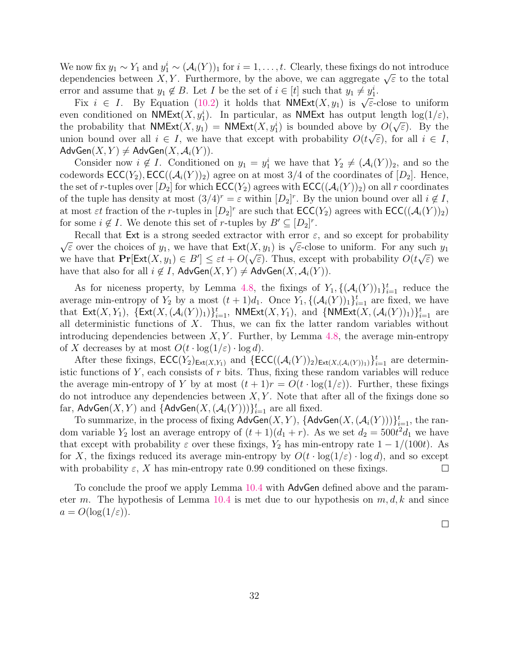We now fix  $y_1 \sim Y_1$  and  $y_1^i \sim (\mathcal{A}_i(Y))_1$  for  $i = 1, \ldots, t$ . Clearly, these fixings do not introduce we now its  $y_1 \sim T_1$  and  $y_1 \sim (\mathcal{A}_i(T))_1$  for  $i = 1, \ldots, i$ . Clearly, these fixings do not introduce<br>dependencies between X, Y. Furthermore, by the above, we can aggregate  $\sqrt{\varepsilon}$  to the total error and assume that  $y_1 \notin B$ . Let I be the set of  $i \in [t]$  such that  $y_1 \neq y_1^i$ .

Fix  $i \in I$ . By Equation [\(10.2\)](#page-32-1) it holds that  $NMExt(X, y_1)$  is  $\sqrt{\varepsilon}$ -close to uniform even conditioned on  $NMExt(X, y_1^i)$ . In particular, as  $NMExt$  has output length  $log(1/\varepsilon)$ , the probability that **NMExt** $(X, y_1) = \text{NMExt}(X, y_1^i)$  is bounded above by  $O(\sqrt{\varepsilon})$ . By the union bound over all  $i \in I$ , we have that except with probability  $O(t\sqrt{\varepsilon})$ , for all  $i \in I$ ,  $\mathsf{AdvGen}(X, Y) \neq \mathsf{AdvGen}(X, \mathcal{A}_i(Y)).$ 

Consider now  $i \notin I$ . Conditioned on  $y_1 = y_1^i$  we have that  $Y_2 \neq (\mathcal{A}_i(Y))_2$ , and so the codewords  $\mathsf{ECC}(Y_2), \mathsf{ECC}((\mathcal{A}_i(Y))_2)$  agree on at most 3/4 of the coordinates of  $[D_2]$ . Hence, the set of r-tuples over  $[D_2]$  for which  $\mathsf{ECC}(Y_2)$  agrees with  $\mathsf{ECC}((\mathcal{A}_i(Y))_2)$  on all r coordinates of the tuple has density at most  $(3/4)^r = \varepsilon$  within  $[D_2]^r$ . By the union bound over all  $i \notin I$ , at most  $\varepsilon t$  fraction of the r-tuples in  $[D_2]^r$  are such that  $\mathsf{ECC}(Y_2)$  agrees with  $\mathsf{ECC}((\mathcal{A}_i(Y))_2)$ for some  $i \notin I$ . We denote this set of r-tuples by  $B' \subseteq [D_2]^r$ .

Recall that Ext is a strong seeded extractor with error  $\varepsilon$ , and so except for probability Necall that Ext is a strong seeded extractor with error  $\varepsilon$ , and so except for probability  $\sqrt{\varepsilon}$  over the choices of  $y_1$ , we have that  $\text{Ext}(X, y_1)$  is  $\sqrt{\varepsilon}$ -close to uniform. For any such  $y_1$ we have that  $Pr[Ext(X, y_1) \in B'] \leq \varepsilon t + O(\sqrt{\varepsilon})$ . Thus, except with probability  $O(t\sqrt{\varepsilon})$  we have that also for all  $i \notin I$ ,  $\mathsf{AdvGen}(X, Y) \neq \mathsf{AdvGen}(X, \mathcal{A}_i(Y)).$ 

As for niceness property, by Lemma [4.8,](#page-15-4) the fixings of  $Y_1, \{(\mathcal{A}_i(Y))_1\}_{i=1}^t$  reduce the average min-entropy of  $Y_2$  by a most  $(t+1)d_1$ . Once  $Y_1, \{(\mathcal{A}_i(Y))_1\}_{i=1}^t$  are fixed, we have that  $\textsf{Ext}(X, Y_1), \ \{\textsf{Ext}(X, (\mathcal{A}_i(Y))_1)\}_{i=1}^t, \ \textsf{NMExt}(X, Y_1), \text{ and } \{\textsf{NMExt}(X, (\mathcal{A}_i(Y))_1)\}_{i=1}^t \text{ are }$ all deterministic functions of  $X$ . Thus, we can fix the latter random variables without introducing dependencies between  $X, Y$ . Further, by Lemma [4.8,](#page-15-4) the average min-entropy of X decreases by at most  $O(t \cdot \log(1/\varepsilon) \cdot \log d)$ .

After these fixings,  $\mathsf{ECC}(Y_2)_{\mathsf{Ext}(X,Y_1)}$  and  $\{\mathsf{ECC}((\mathcal{A}_i(Y))_2)_{\mathsf{Ext}(X,(\mathcal{A}_i(Y))_1)}\}_{i=1}^t$  are deterministic functions of  $Y$ , each consists of  $r$  bits. Thus, fixing these random variables will reduce the average min-entropy of Y by at most  $(t + 1)r = O(t \cdot \log(1/\varepsilon))$ . Further, these fixings do not introduce any dependencies between  $X, Y$ . Note that after all of the fixings done so far,  $\mathsf{AdvGen}(X, Y)$  and  $\{\mathsf{AdvGen}(X,(\mathcal{A}_i(Y)))\}_{i=1}^t$  are all fixed.

To summarize, in the process of fixing  $\mathsf{AdvGen}(X, Y)$ ,  $\{\mathsf{AdvGen}(X, (\mathcal{A}_i(Y)))\}_{i=1}^t$ , the random variable  $Y_2$  lost an average entropy of  $(t+1)(d_1+r)$ . As we set  $d_2 = 500t^2d_1$  we have that except with probability  $\varepsilon$  over these fixings,  $Y_2$  has min-entropy rate  $1 - 1/(100t)$ . As for X, the fixings reduced its average min-entropy by  $O(t \cdot \log(1/\varepsilon) \cdot \log d)$ , and so except with probability  $\varepsilon$ , X has min-entropy rate 0.99 conditioned on these fixings.  $\Box$ 

To conclude the proof we apply Lemma [10.4](#page-30-0) with AdvGen defined above and the param-eter m. The hypothesis of Lemma [10.4](#page-30-0) is met due to our hypothesis on  $m, d, k$  and since  $a = O(\log(1/\varepsilon)).$ 

 $\Box$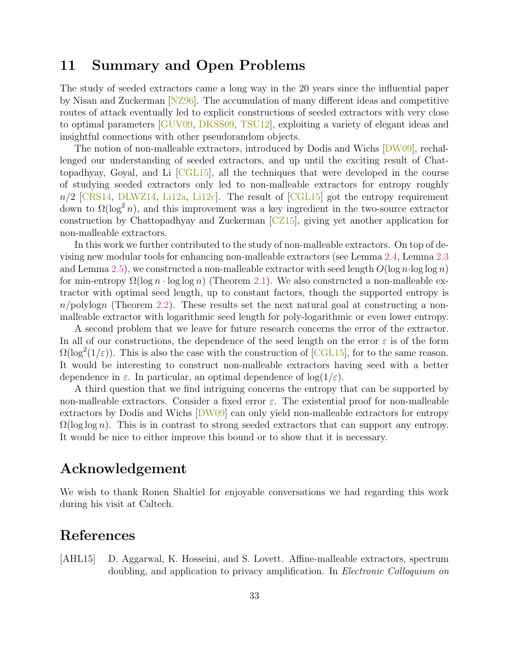### <span id="page-34-0"></span>11 Summary and Open Problems

The study of seeded extractors came a long way in the 20 years since the influential paper by Nisan and Zuckerman [\[NZ96\]](#page--1-2). The accumulation of many different ideas and competitive routes of attack eventually led to explicit constructions of seeded extractors with very close to optimal parameters [\[GUV09,](#page-36-1) [DKSS09,](#page-35-3) [TSU12\]](#page--1-3), exploiting a variety of elegant ideas and insightful connections with other pseudorandom objects.

The notion of non-malleable extractors, introduced by Dodis and Wichs [\[DW09\]](#page-36-0), rechallenged our understanding of seeded extractors, and up until the exciting result of Chattopadhyay, Goyal, and Li  $\left[\text{CGL15}\right]$ , all the techniques that were developed in the course of studying seeded extractors only led to non-malleable extractors for entropy roughly  $n/2$  [\[CRS14,](#page-35-4) [DLWZ14,](#page-35-5) [Li12a,](#page-36-3) [Li12c\]](#page-36-4). The result of  $\text{[CGL15]}$  $\text{[CGL15]}$  $\text{[CGL15]}$  got the entropy requirement down to  $\Omega(\log^2 n)$ , and this improvement was a key ingredient in the two-source extractor construction by Chattopadhyay and Zuckerman [\[CZ15\]](#page-35-1), giving yet another application for non-malleable extractors.

In this work we further contributed to the study of non-malleable extractors. On top of devising new modular tools for enhancing non-malleable extractors (see Lemma [2.4,](#page-6-3) Lemma [2.3](#page-6-2) and Lemma [2.5\)](#page-7-2), we constructed a non-malleable extractor with seed length  $O(\log n \cdot \log \log n)$ for min-entropy  $\Omega(\log n \cdot \log \log n)$  (Theorem [2.1\)](#page-5-3). We also constructed a non-malleable extractor with optimal seed length, up to constant factors, though the supported entropy is  $n/polylogn$  (Theorem [2.2\)](#page-5-4). These results set the next natural goal at constructing a nonmalleable extractor with logarithmic seed length for poly-logarithmic or even lower entropy.

A second problem that we leave for future research concerns the error of the extractor. In all of our constructions, the dependence of the seed length on the error  $\varepsilon$  is of the form  $\Omega(\log^2(1/\varepsilon))$ . This is also the case with the construction of [\[CGL15\]](#page-35-0), for to the same reason. It would be interesting to construct non-malleable extractors having seed with a better dependence in  $\varepsilon$ . In particular, an optimal dependence of  $\log(1/\varepsilon)$ .

A third question that we find intriguing concerns the entropy that can be supported by non-malleable extractors. Consider a fixed error  $\varepsilon$ . The existential proof for non-malleable extractors by Dodis and Wichs [\[DW09\]](#page-36-0) can only yield non-malleable extractors for entropy  $\Omega(\log \log n)$ . This is in contrast to strong seeded extractors that can support any entropy. It would be nice to either improve this bound or to show that it is necessary.

### Acknowledgement

We wish to thank Ronen Shaltiel for enjoyable conversations we had regarding this work during his visit at Caltech.

### References

<span id="page-34-1"></span>[AHL15] D. Aggarwal, K. Hosseini, and S. Lovett. Affine-malleable extractors, spectrum doubling, and application to privacy amplification. In *Electronic Colloquium on*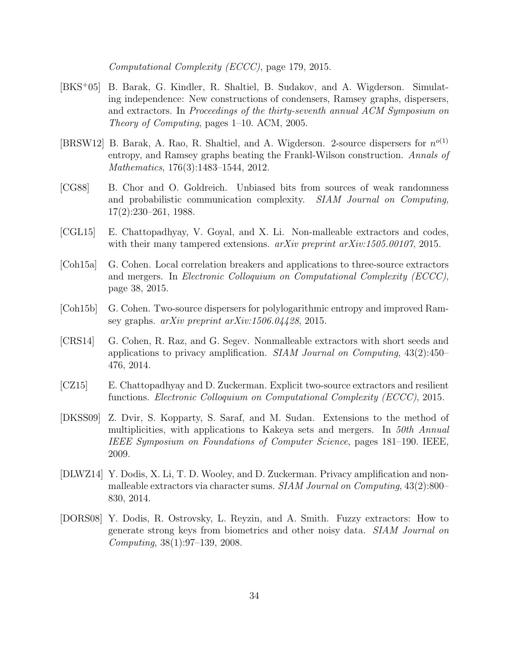Computational Complexity (ECCC), page 179, 2015.

- <span id="page-35-9"></span>[BKS<sup>+</sup>05] B. Barak, G. Kindler, R. Shaltiel, B. Sudakov, and A. Wigderson. Simulating independence: New constructions of condensers, Ramsey graphs, dispersers, and extractors. In Proceedings of the thirty-seventh annual ACM Symposium on Theory of Computing, pages 1–10. ACM, 2005.
- <span id="page-35-7"></span>[BRSW12] B. Barak, A. Rao, R. Shaltiel, and A. Wigderson. 2-source dispersers for  $n^{o(1)}$ entropy, and Ramsey graphs beating the Frankl-Wilson construction. Annals of Mathematics, 176(3):1483–1544, 2012.
- <span id="page-35-2"></span>[CG88] B. Chor and O. Goldreich. Unbiased bits from sources of weak randomness and probabilistic communication complexity. SIAM Journal on Computing, 17(2):230–261, 1988.
- <span id="page-35-0"></span>[CGL15] E. Chattopadhyay, V. Goyal, and X. Li. Non-malleable extractors and codes, with their many tampered extensions.  $arXiv$  preprint  $arXiv:1505.00107$ , 2015.
- <span id="page-35-6"></span>[Coh15a] G. Cohen. Local correlation breakers and applications to three-source extractors and mergers. In Electronic Colloquium on Computational Complexity (ECCC), page 38, 2015.
- <span id="page-35-8"></span>[Coh15b] G. Cohen. Two-source dispersers for polylogarithmic entropy and improved Ramsey graphs.  $arXiv$  preprint  $arXiv:1506.04428$ , 2015.
- <span id="page-35-4"></span>[CRS14] G. Cohen, R. Raz, and G. Segev. Nonmalleable extractors with short seeds and applications to privacy amplification. SIAM Journal on Computing,  $43(2)$ : $450-$ 476, 2014.
- <span id="page-35-1"></span>[CZ15] E. Chattopadhyay and D. Zuckerman. Explicit two-source extractors and resilient functions. Electronic Colloquium on Computational Complexity (ECCC), 2015.
- <span id="page-35-3"></span>[DKSS09] Z. Dvir, S. Kopparty, S. Saraf, and M. Sudan. Extensions to the method of multiplicities, with applications to Kakeya sets and mergers. In 50th Annual IEEE Symposium on Foundations of Computer Science, pages 181–190. IEEE, 2009.
- <span id="page-35-5"></span>[DLWZ14] Y. Dodis, X. Li, T. D. Wooley, and D. Zuckerman. Privacy amplification and nonmalleable extractors via character sums. SIAM Journal on Computing, 43(2):800– 830, 2014.
- <span id="page-35-10"></span>[DORS08] Y. Dodis, R. Ostrovsky, L. Reyzin, and A. Smith. Fuzzy extractors: How to generate strong keys from biometrics and other noisy data. SIAM Journal on Computing, 38(1):97–139, 2008.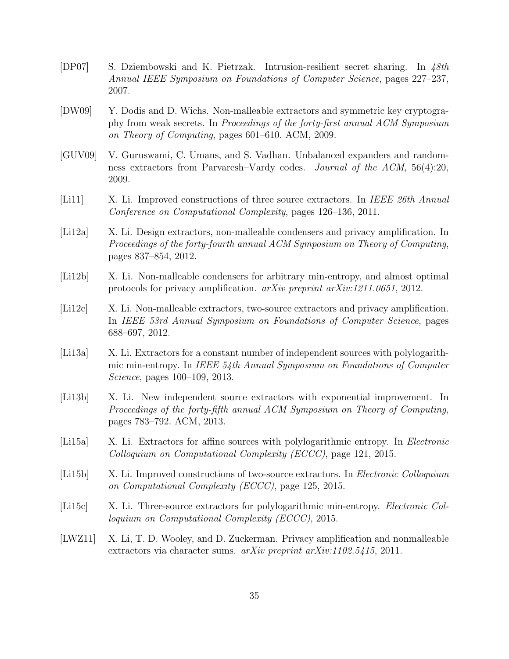- <span id="page-36-11"></span>[DP07] S. Dziembowski and K. Pietrzak. Intrusion-resilient secret sharing. In 48th Annual IEEE Symposium on Foundations of Computer Science, pages 227–237, 2007.
- <span id="page-36-0"></span>[DW09] Y. Dodis and D. Wichs. Non-malleable extractors and symmetric key cryptography from weak secrets. In Proceedings of the forty-first annual ACM Symposium on Theory of Computing, pages 601–610. ACM, 2009.
- <span id="page-36-1"></span>[GUV09] V. Guruswami, C. Umans, and S. Vadhan. Unbalanced expanders and randomness extractors from Parvaresh–Vardy codes. Journal of the ACM, 56(4):20, 2009.
- <span id="page-36-6"></span>[Li11] X. Li. Improved constructions of three source extractors. In IEEE 26th Annual Conference on Computational Complexity, pages 126–136, 2011.
- <span id="page-36-3"></span>[Li12a] X. Li. Design extractors, non-malleable condensers and privacy amplification. In Proceedings of the forty-fourth annual ACM Symposium on Theory of Computing, pages 837–854, 2012.
- <span id="page-36-5"></span>[Li12b] X. Li. Non-malleable condensers for arbitrary min-entropy, and almost optimal protocols for privacy amplification. arXiv preprint arXiv:1211.0651, 2012.
- <span id="page-36-4"></span>[Li12c] X. Li. Non-malleable extractors, two-source extractors and privacy amplification. In IEEE 53rd Annual Symposium on Foundations of Computer Science, pages 688–697, 2012.
- <span id="page-36-8"></span>[Li13a] X. Li. Extractors for a constant number of independent sources with polylogarithmic min-entropy. In IEEE 54th Annual Symposium on Foundations of Computer Science, pages 100–109, 2013.
- <span id="page-36-7"></span>[Li13b] X. Li. New independent source extractors with exponential improvement. In Proceedings of the forty-fifth annual ACM Symposium on Theory of Computing, pages 783–792. ACM, 2013.
- <span id="page-36-10"></span>[Li15a] X. Li. Extractors for affine sources with polylogarithmic entropy. In *Electronic* Colloquium on Computational Complexity (ECCC), page 121, 2015.
- <span id="page-36-9"></span>[Li15b] X. Li. Improved constructions of two-source extractors. In Electronic Colloquium on Computational Complexity (ECCC), page 125, 2015.
- <span id="page-36-12"></span>[Li15c] X. Li. Three-source extractors for polylogarithmic min-entropy. *Electronic Col*loquium on Computational Complexity (ECCC), 2015.
- <span id="page-36-2"></span>[LWZ11] X. Li, T. D. Wooley, and D. Zuckerman. Privacy amplification and nonmalleable extractors via character sums. *arXiv preprint arXiv:1102.5415*, 2011.